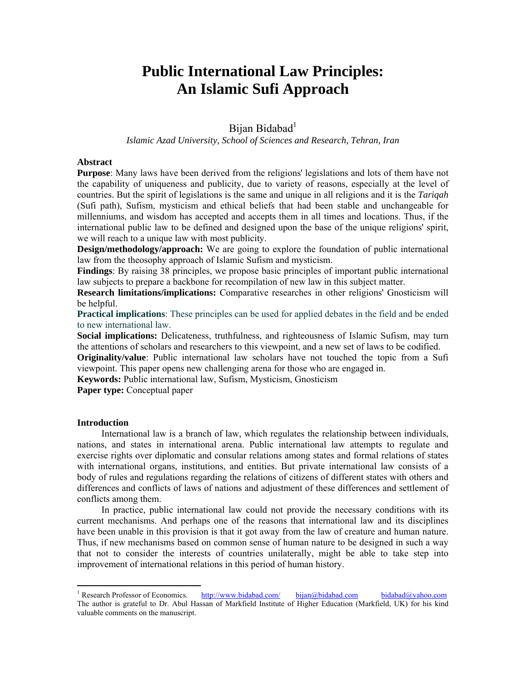# **Public International Law Principles: An Islamic Sufi Approach**

# Bijan Bidabad<sup>1</sup>

*Islamic Azad University, School of Sciences and Research, Tehran, Iran* 

#### **Abstract**

**Purpose**: Many laws have been derived from the religions' legislations and lots of them have not the capability of uniqueness and publicity, due to variety of reasons, especially at the level of countries. But the spirit of legislations is the same and unique in all religions and it is the *Tariqah* (Sufi path), Sufism, mysticism and ethical beliefs that had been stable and unchangeable for millenniums, and wisdom has accepted and accepts them in all times and locations. Thus, if the international public law to be defined and designed upon the base of the unique religions' spirit, we will reach to a unique law with most publicity.

**Design/methodology/approach:** We are going to explore the foundation of public international law from the theosophy approach of Islamic Sufism and mysticism.

**Findings**: By raising 38 principles, we propose basic principles of important public international law subjects to prepare a backbone for recompilation of new law in this subject matter.

**Research limitations/implications:** Comparative researches in other religions' Gnosticism will be helpful.

**Practical implications**: These principles can be used for applied debates in the field and be ended to new international law.

**Social implications:** Delicateness, truthfulness, and righteousness of Islamic Sufism, may turn the attentions of scholars and researchers to this viewpoint, and a new set of laws to be codified.

**Originality/value**: Public international law scholars have not touched the topic from a Sufi viewpoint. This paper opens new challenging arena for those who are engaged in.

**Keywords:** Public international law, Sufism, Mysticism, Gnosticism

**Paper type:** Conceptual paper

#### **Introduction**

 $\overline{a}$ 

International law is a branch of law, which regulates the relationship between individuals, nations, and states in international arena. Public international law attempts to regulate and exercise rights over diplomatic and consular relations among states and formal relations of states with international organs, institutions, and entities. But private international law consists of a body of rules and regulations regarding the relations of citizens of different states with others and differences and conflicts of laws of nations and adjustment of these differences and settlement of conflicts among them.

In practice, public international law could not provide the necessary conditions with its current mechanisms. And perhaps one of the reasons that international law and its disciplines have been unable in this provision is that it got away from the law of creature and human nature. Thus, if new mechanisms based on common sense of human nature to be designed in such a way that not to consider the interests of countries unilaterally, might be able to take step into improvement of international relations in this period of human history.

<sup>&</sup>lt;sup>1</sup> Research Professor of Economics. http://www.bidabad.com/ bijan@bidabad.com bidabad@yahoo.com The author is grateful to Dr. Abul Hassan of Markfield Institute of Higher Education (Markfield, UK) for his kind valuable comments on the manuscript.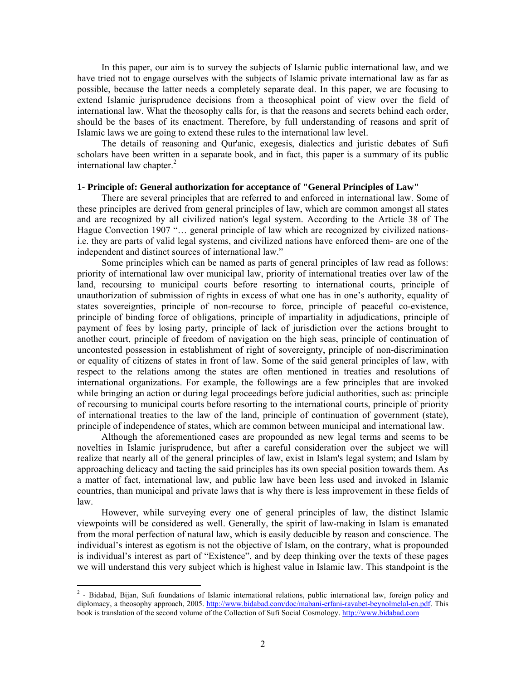In this paper, our aim is to survey the subjects of Islamic public international law, and we have tried not to engage ourselves with the subjects of Islamic private international law as far as possible, because the latter needs a completely separate deal. In this paper, we are focusing to extend Islamic jurisprudence decisions from a theosophical point of view over the field of international law. What the theosophy calls for, is that the reasons and secrets behind each order, should be the bases of its enactment. Therefore, by full understanding of reasons and sprit of Islamic laws we are going to extend these rules to the international law level.

The details of reasoning and Qur'anic, exegesis, dialectics and juristic debates of Sufi scholars have been written in a separate book, and in fact, this paper is a summary of its public international law chapter. $^{2}$ 

#### **1- Principle of: General authorization for acceptance of "General Principles of Law"**

There are several principles that are referred to and enforced in international law. Some of these principles are derived from general principles of law, which are common amongst all states and are recognized by all civilized nation's legal system. According to the Article 38 of The Hague Convection 1907 "... general principle of law which are recognized by civilized nationsi.e. they are parts of valid legal systems, and civilized nations have enforced them- are one of the independent and distinct sources of international law."

Some principles which can be named as parts of general principles of law read as follows: priority of international law over municipal law, priority of international treaties over law of the land, recoursing to municipal courts before resorting to international courts, principle of unauthorization of submission of rights in excess of what one has in one's authority, equality of states sovereignties, principle of non-recourse to force, principle of peaceful co-existence, principle of binding force of obligations, principle of impartiality in adjudications, principle of payment of fees by losing party, principle of lack of jurisdiction over the actions brought to another court, principle of freedom of navigation on the high seas, principle of continuation of uncontested possession in establishment of right of sovereignty, principle of non-discrimination or equality of citizens of states in front of law. Some of the said general principles of law, with respect to the relations among the states are often mentioned in treaties and resolutions of international organizations. For example, the followings are a few principles that are invoked while bringing an action or during legal proceedings before judicial authorities, such as: principle of recoursing to municipal courts before resorting to the international courts, principle of priority of international treaties to the law of the land, principle of continuation of government (state), principle of independence of states, which are common between municipal and international law.

Although the aforementioned cases are propounded as new legal terms and seems to be novelties in Islamic jurisprudence, but after a careful consideration over the subject we will realize that nearly all of the general principles of law, exist in Islam's legal system; and Islam by approaching delicacy and tacting the said principles has its own special position towards them. As a matter of fact, international law, and public law have been less used and invoked in Islamic countries, than municipal and private laws that is why there is less improvement in these fields of law.

However, while surveying every one of general principles of law, the distinct Islamic viewpoints will be considered as well. Generally, the spirit of law-making in Islam is emanated from the moral perfection of natural law, which is easily deducible by reason and conscience. The individual's interest as egotism is not the objective of Islam, on the contrary, what is propounded is individual's interest as part of "Existence", and by deep thinking over the texts of these pages we will understand this very subject which is highest value in Islamic law. This standpoint is the

<sup>&</sup>lt;sup>2</sup> - Bidabad, Bijan, Sufi foundations of Islamic international relations, public international law, foreign policy and diplomacy, a theosophy approach, 2005. http://www.bidabad.com/doc/mabani-erfani-ravabet-beynolmelal-en.pdf. This book is translation of the second volume of the Collection of Sufi Social Cosmology. http://www.bidabad.com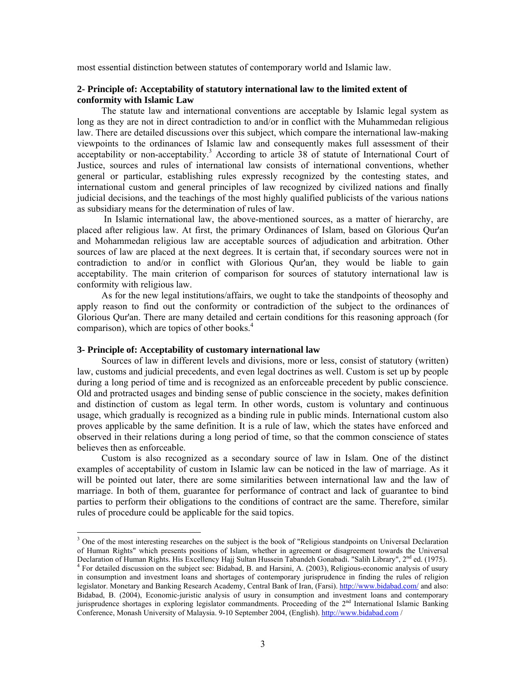most essential distinction between statutes of contemporary world and Islamic law.

## **2- Principle of: Acceptability of statutory international law to the limited extent of conformity with Islamic Law**

The statute law and international conventions are acceptable by Islamic legal system as long as they are not in direct contradiction to and/or in conflict with the Muhammedan religious law. There are detailed discussions over this subject, which compare the international law-making viewpoints to the ordinances of Islamic law and consequently makes full assessment of their acceptability or non-acceptability.<sup>3</sup> According to article 38 of statute of International Court of Justice, sources and rules of international law consists of international conventions, whether general or particular, establishing rules expressly recognized by the contesting states, and international custom and general principles of law recognized by civilized nations and finally judicial decisions, and the teachings of the most highly qualified publicists of the various nations as subsidiary means for the determination of rules of law.

 In Islamic international law, the above-mentioned sources, as a matter of hierarchy, are placed after religious law. At first, the primary Ordinances of Islam, based on Glorious Qur'an and Mohammedan religious law are acceptable sources of adjudication and arbitration. Other sources of law are placed at the next degrees. It is certain that, if secondary sources were not in contradiction to and/or in conflict with Glorious Qur'an, they would be liable to gain acceptability. The main criterion of comparison for sources of statutory international law is conformity with religious law.

As for the new legal institutions/affairs, we ought to take the standpoints of theosophy and apply reason to find out the conformity or contradiction of the subject to the ordinances of Glorious Qur'an. There are many detailed and certain conditions for this reasoning approach (for comparison), which are topics of other books. $4$ 

# **3- Principle of: Acceptability of customary international law**

 $\overline{a}$ 

Sources of law in different levels and divisions, more or less, consist of statutory (written) law, customs and judicial precedents, and even legal doctrines as well. Custom is set up by people during a long period of time and is recognized as an enforceable precedent by public conscience. Old and protracted usages and binding sense of public conscience in the society, makes definition and distinction of custom as legal term. In other words, custom is voluntary and continuous usage, which gradually is recognized as a binding rule in public minds. International custom also proves applicable by the same definition. It is a rule of law, which the states have enforced and observed in their relations during a long period of time, so that the common conscience of states believes then as enforceable.

Custom is also recognized as a secondary source of law in Islam. One of the distinct examples of acceptability of custom in Islamic law can be noticed in the law of marriage. As it will be pointed out later, there are some similarities between international law and the law of marriage. In both of them, guarantee for performance of contract and lack of guarantee to bind parties to perform their obligations to the conditions of contract are the same. Therefore, similar rules of procedure could be applicable for the said topics.

<sup>&</sup>lt;sup>3</sup> One of the most interesting researches on the subject is the book of "Religious standpoints on Universal Declaration of Human Rights" which presents positions of Islam, whether in agreement or disagreement towards the Universal Declaration of Human Rights. His Excellency Hajj Sultan Hussein Tabandeh Gonabadi. "Salih Library", 2<sup>nd</sup> ed. (1975).  $<sup>4</sup>$  For detailed discussion on the subject see: Bidabad, B. and Harsini, A. (2003), Religious-economic analysis of usury</sup> in consumption and investment loans and shortages of contemporary jurisprudence in finding the rules of religion legislator. Monetary and Banking Research Academy, Central Bank of Iran, (Farsi). http://www.bidabad.com/ and also: Bidabad, B. (2004), Economic-juristic analysis of usury in consumption and investment loans and contemporary jurisprudence shortages in exploring legislator commandments. Proceeding of the 2<sup>nd</sup> International Islamic Banking Conference, Monash University of Malaysia. 9-10 September 2004, (English). http://www.bidabad.com /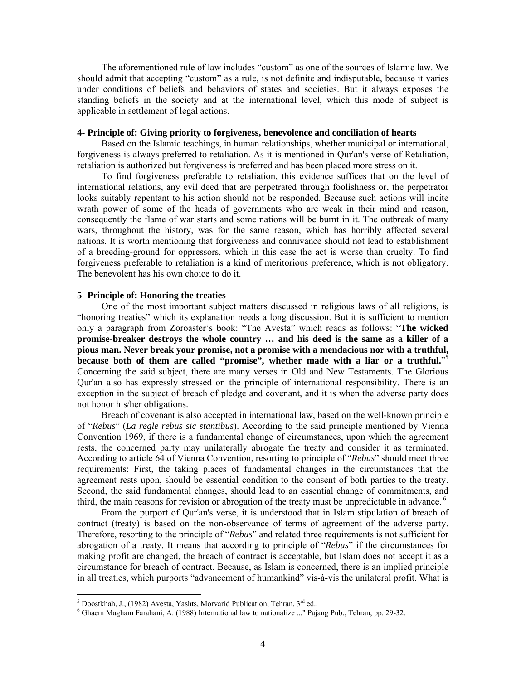The aforementioned rule of law includes "custom" as one of the sources of Islamic law. We should admit that accepting "custom" as a rule, is not definite and indisputable, because it varies under conditions of beliefs and behaviors of states and societies. But it always exposes the standing beliefs in the society and at the international level, which this mode of subject is applicable in settlement of legal actions.

## **4- Principle of: Giving priority to forgiveness, benevolence and conciliation of hearts**

Based on the Islamic teachings, in human relationships, whether municipal or international, forgiveness is always preferred to retaliation. As it is mentioned in Qur'an's verse of Retaliation, retaliation is authorized but forgiveness is preferred and has been placed more stress on it.

To find forgiveness preferable to retaliation, this evidence suffices that on the level of international relations, any evil deed that are perpetrated through foolishness or, the perpetrator looks suitably repentant to his action should not be responded. Because such actions will incite wrath power of some of the heads of governments who are weak in their mind and reason, consequently the flame of war starts and some nations will be burnt in it. The outbreak of many wars, throughout the history, was for the same reason, which has horribly affected several nations. It is worth mentioning that forgiveness and connivance should not lead to establishment of a breeding-ground for oppressors, which in this case the act is worse than cruelty. To find forgiveness preferable to retaliation is a kind of meritorious preference, which is not obligatory. The benevolent has his own choice to do it.

#### **5- Principle of: Honoring the treaties**

One of the most important subject matters discussed in religious laws of all religions, is "honoring treaties" which its explanation needs a long discussion. But it is sufficient to mention only a paragraph from Zoroaster's book: "The Avesta" which reads as follows: "**The wicked promise-breaker destroys the whole country … and his deed is the same as a killer of a pious man. Never break your promise, not a promise with a mendacious nor with a truthful,**  because both of them are called "promise", whether made with a liar or a truthful."<sup>5</sup> Concerning the said subject, there are many verses in Old and New Testaments. The Glorious Qur'an also has expressly stressed on the principle of international responsibility. There is an exception in the subject of breach of pledge and covenant, and it is when the adverse party does not honor his/her obligations.

Breach of covenant is also accepted in international law, based on the well-known principle of "*Rebus*" (*La regle rebus sic stantibus*). According to the said principle mentioned by Vienna Convention 1969, if there is a fundamental change of circumstances, upon which the agreement rests, the concerned party may unilaterally abrogate the treaty and consider it as terminated. According to article 64 of Vienna Convention, resorting to principle of "*Rebus*" should meet three requirements: First, the taking places of fundamental changes in the circumstances that the agreement rests upon, should be essential condition to the consent of both parties to the treaty. Second, the said fundamental changes, should lead to an essential change of commitments, and third, the main reasons for revision or abrogation of the treaty must be unpredictable in advance.<sup>6</sup>

From the purport of Qur'an's verse, it is understood that in Islam stipulation of breach of contract (treaty) is based on the non-observance of terms of agreement of the adverse party. Therefore, resorting to the principle of "*Rebus*" and related three requirements is not sufficient for abrogation of a treaty. It means that according to principle of "*Rebus*" if the circumstances for making profit are changed, the breach of contract is acceptable, but Islam does not accept it as a circumstance for breach of contract. Because, as Islam is concerned, there is an implied principle in all treaties, which purports "advancement of humankind" vis-à-vis the unilateral profit. What is

<sup>&</sup>lt;sup>5</sup> Doostkhah, J., (1982) Avesta, Yashts, Morvarid Publication, Tehran, 3<sup>rd</sup> ed..<br><sup>6</sup> Gheam Masham Earshani, A. (1988) International law to nationalize. " Deje

Ghaem Magham Farahani, A. (1988) International law to nationalize ..." Pajang Pub., Tehran, pp. 29-32.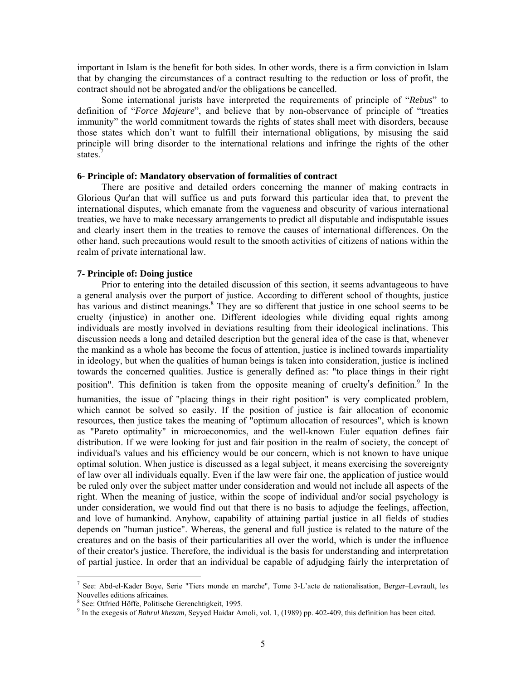important in Islam is the benefit for both sides. In other words, there is a firm conviction in Islam that by changing the circumstances of a contract resulting to the reduction or loss of profit, the contract should not be abrogated and/or the obligations be cancelled.

Some international jurists have interpreted the requirements of principle of "*Rebus*" to definition of "*Force Majeure*", and believe that by non-observance of principle of "treaties immunity" the world commitment towards the rights of states shall meet with disorders, because those states which don't want to fulfill their international obligations, by misusing the said principle will bring disorder to the international relations and infringe the rights of the other states.<sup>7</sup>

#### **6- Principle of: Mandatory observation of formalities of contract**

There are positive and detailed orders concerning the manner of making contracts in Glorious Qur'an that will suffice us and puts forward this particular idea that, to prevent the international disputes, which emanate from the vagueness and obscurity of various international treaties, we have to make necessary arrangements to predict all disputable and indisputable issues and clearly insert them in the treaties to remove the causes of international differences. On the other hand, such precautions would result to the smooth activities of citizens of nations within the realm of private international law.

## **7- Principle of: Doing justice**

Prior to entering into the detailed discussion of this section, it seems advantageous to have a general analysis over the purport of justice. According to different school of thoughts, justice has various and distinct meanings.<sup>8</sup> They are so different that justice in one school seems to be cruelty (injustice) in another one. Different ideologies while dividing equal rights among individuals are mostly involved in deviations resulting from their ideological inclinations. This discussion needs a long and detailed description but the general idea of the case is that, whenever the mankind as a whole has become the focus of attention, justice is inclined towards impartiality in ideology, but when the qualities of human beings is taken into consideration, justice is inclined towards the concerned qualities. Justice is generally defined as: "to place things in their right position". This definition is taken from the opposite meaning of cruelty's definition.<sup>9</sup> In the humanities, the issue of "placing things in their right position" is very complicated problem, which cannot be solved so easily. If the position of justice is fair allocation of economic resources, then justice takes the meaning of "optimum allocation of resources", which is known as "Pareto optimality" in microeconomics, and the well-known Euler equation defines fair distribution. If we were looking for just and fair position in the realm of society, the concept of individual's values and his efficiency would be our concern, which is not known to have unique optimal solution. When justice is discussed as a legal subject, it means exercising the sovereignty of law over all individuals equally. Even if the law were fair one, the application of justice would be ruled only over the subject matter under consideration and would not include all aspects of the right. When the meaning of justice, within the scope of individual and/or social psychology is under consideration, we would find out that there is no basis to adjudge the feelings, affection, and love of humankind. Anyhow, capability of attaining partial justice in all fields of studies depends on "human justice". Whereas, the general and full justice is related to the nature of the creatures and on the basis of their particularities all over the world, which is under the influence of their creator's justice. Therefore, the individual is the basis for understanding and interpretation of partial justice. In order that an individual be capable of adjudging fairly the interpretation of

 7 See: Abd-el-Kader Boye, Serie "Tiers monde en marche", Tome 3-L'acte de nationalisation, Berger–Levrault, les Nouvelles editions africaines.

<sup>8</sup> See: Otfried Höffe, Politische Gerenchtigkeit, 1995.

<sup>9</sup> In the exegesis of *Bahrul khezam*, Seyyed Haidar Amoli, vol. 1, (1989) pp. 402-409, this definition has been cited.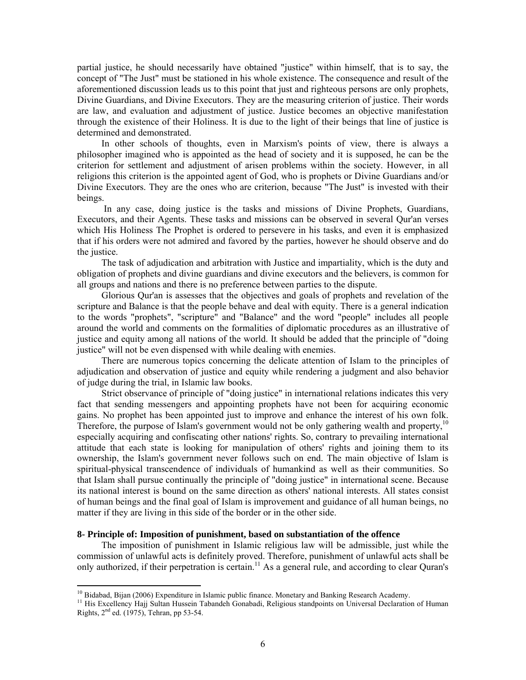partial justice, he should necessarily have obtained "justice" within himself, that is to say, the concept of "The Just" must be stationed in his whole existence. The consequence and result of the aforementioned discussion leads us to this point that just and righteous persons are only prophets, Divine Guardians, and Divine Executors. They are the measuring criterion of justice. Their words are law, and evaluation and adjustment of justice. Justice becomes an objective manifestation through the existence of their Holiness. It is due to the light of their beings that line of justice is determined and demonstrated.

In other schools of thoughts, even in Marxism's points of view, there is always a philosopher imagined who is appointed as the head of society and it is supposed, he can be the criterion for settlement and adjustment of arisen problems within the society. However, in all religions this criterion is the appointed agent of God, who is prophets or Divine Guardians and/or Divine Executors. They are the ones who are criterion, because "The Just" is invested with their beings.

 In any case, doing justice is the tasks and missions of Divine Prophets, Guardians, Executors, and their Agents. These tasks and missions can be observed in several Qur'an verses which His Holiness The Prophet is ordered to persevere in his tasks, and even it is emphasized that if his orders were not admired and favored by the parties, however he should observe and do the justice.

The task of adjudication and arbitration with Justice and impartiality, which is the duty and obligation of prophets and divine guardians and divine executors and the believers, is common for all groups and nations and there is no preference between parties to the dispute.

Glorious Qur'an is assesses that the objectives and goals of prophets and revelation of the scripture and Balance is that the people behave and deal with equity. There is a general indication to the words "prophets", "scripture" and "Balance" and the word "people" includes all people around the world and comments on the formalities of diplomatic procedures as an illustrative of justice and equity among all nations of the world. It should be added that the principle of "doing justice" will not be even dispensed with while dealing with enemies.

There are numerous topics concerning the delicate attention of Islam to the principles of adjudication and observation of justice and equity while rendering a judgment and also behavior of judge during the trial, in Islamic law books.

Strict observance of principle of "doing justice" in international relations indicates this very fact that sending messengers and appointing prophets have not been for acquiring economic gains. No prophet has been appointed just to improve and enhance the interest of his own folk. Therefore, the purpose of Islam's government would not be only gathering wealth and property.<sup>10</sup> especially acquiring and confiscating other nations' rights. So, contrary to prevailing international attitude that each state is looking for manipulation of others' rights and joining them to its ownership, the Islam's government never follows such on end. The main objective of Islam is spiritual-physical transcendence of individuals of humankind as well as their communities. So that Islam shall pursue continually the principle of "doing justice" in international scene. Because its national interest is bound on the same direction as others' national interests. All states consist of human beings and the final goal of Islam is improvement and guidance of all human beings, no matter if they are living in this side of the border or in the other side.

#### **8- Principle of: Imposition of punishment, based on substantiation of the offence**

The imposition of punishment in Islamic religious law will be admissible, just while the commission of unlawful acts is definitely proved. Therefore, punishment of unlawful acts shall be only authorized, if their perpetration is certain.<sup>11</sup> As a general rule, and according to clear Quran's

<sup>&</sup>lt;sup>10</sup> Bidabad, Bijan (2006) Expenditure in Islamic public finance. Monetary and Banking Research Academy.<br><sup>11</sup> His Excellency Hajj Sultan Hussein Tabandeh Gonabadi, Religious standpoints on Universal Declaration of Human Rights,  $2<sup>nd</sup>$  ed. (1975), Tehran, pp 53-54.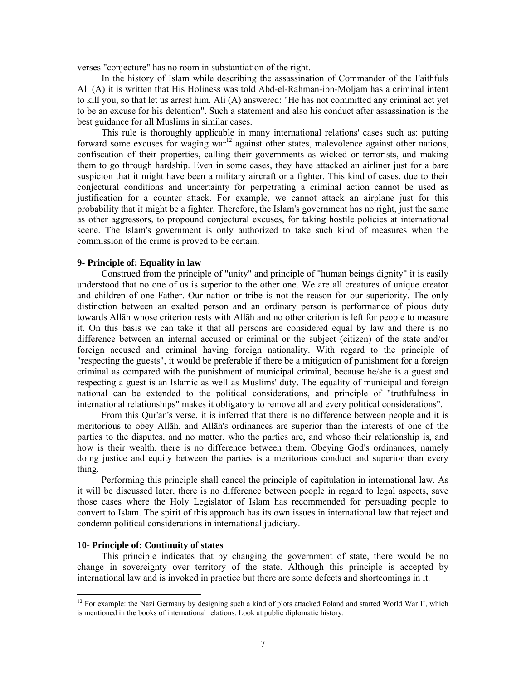verses "conjecture" has no room in substantiation of the right.

In the history of Islam while describing the assassination of Commander of the Faithfuls Ali (A) it is written that His Holiness was told Abd-el-Rahman-ibn-Moljam has a criminal intent to kill you, so that let us arrest him. Ali (A) answered: "He has not committed any criminal act yet to be an excuse for his detention". Such a statement and also his conduct after assassination is the best guidance for all Muslims in similar cases.

This rule is thoroughly applicable in many international relations' cases such as: putting forward some excuses for waging war<sup>12</sup> against other states, malevolence against other nations, confiscation of their properties, calling their governments as wicked or terrorists, and making them to go through hardship. Even in some cases, they have attacked an airliner just for a bare suspicion that it might have been a military aircraft or a fighter. This kind of cases, due to their conjectural conditions and uncertainty for perpetrating a criminal action cannot be used as justification for a counter attack. For example, we cannot attack an airplane just for this probability that it might be a fighter. Therefore, the Islam's government has no right, just the same as other aggressors, to propound conjectural excuses, for taking hostile policies at international scene. The Islam's government is only authorized to take such kind of measures when the commission of the crime is proved to be certain.

#### **9- Principle of: Equality in law**

Construed from the principle of "unity" and principle of "human beings dignity" it is easily understood that no one of us is superior to the other one. We are all creatures of unique creator and children of one Father. Our nation or tribe is not the reason for our superiority. The only distinction between an exalted person and an ordinary person is performance of pious duty towards Allāh whose criterion rests with Allāh and no other criterion is left for people to measure it. On this basis we can take it that all persons are considered equal by law and there is no difference between an internal accused or criminal or the subject (citizen) of the state and/or foreign accused and criminal having foreign nationality. With regard to the principle of "respecting the guests", it would be preferable if there be a mitigation of punishment for a foreign criminal as compared with the punishment of municipal criminal, because he/she is a guest and respecting a guest is an Islamic as well as Muslims' duty. The equality of municipal and foreign national can be extended to the political considerations, and principle of "truthfulness in international relationships" makes it obligatory to remove all and every political considerations".

From this Qur'an's verse, it is inferred that there is no difference between people and it is meritorious to obey Allāh, and Allāh's ordinances are superior than the interests of one of the parties to the disputes, and no matter, who the parties are, and whoso their relationship is, and how is their wealth, there is no difference between them. Obeying God's ordinances, namely doing justice and equity between the parties is a meritorious conduct and superior than every thing.

Performing this principle shall cancel the principle of capitulation in international law. As it will be discussed later, there is no difference between people in regard to legal aspects, save those cases where the Holy Legislator of Islam has recommended for persuading people to convert to Islam. The spirit of this approach has its own issues in international law that reject and condemn political considerations in international judiciary.

## **10- Principle of: Continuity of states**

 $\overline{a}$ 

This principle indicates that by changing the government of state, there would be no change in sovereignty over territory of the state. Although this principle is accepted by international law and is invoked in practice but there are some defects and shortcomings in it.

<sup>&</sup>lt;sup>12</sup> For example: the Nazi Germany by designing such a kind of plots attacked Poland and started World War II, which is mentioned in the books of international relations. Look at public diplomatic history.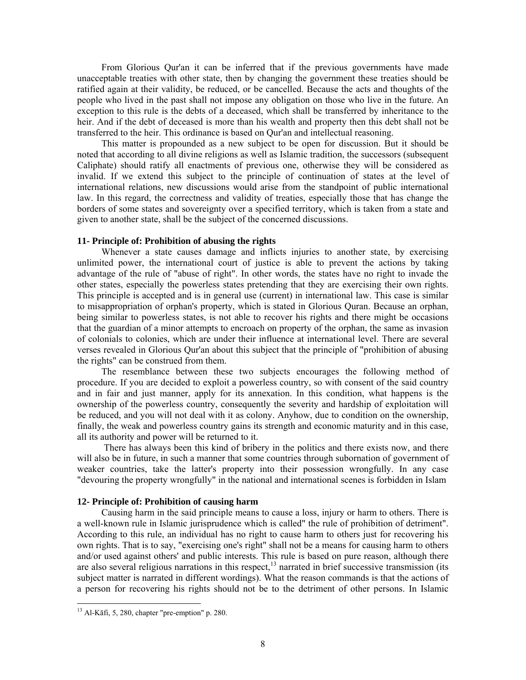From Glorious Qur'an it can be inferred that if the previous governments have made unacceptable treaties with other state, then by changing the government these treaties should be ratified again at their validity, be reduced, or be cancelled. Because the acts and thoughts of the people who lived in the past shall not impose any obligation on those who live in the future. An exception to this rule is the debts of a deceased, which shall be transferred by inheritance to the heir. And if the debt of deceased is more than his wealth and property then this debt shall not be transferred to the heir. This ordinance is based on Qur'an and intellectual reasoning.

This matter is propounded as a new subject to be open for discussion. But it should be noted that according to all divine religions as well as Islamic tradition, the successors (subsequent Caliphate) should ratify all enactments of previous one, otherwise they will be considered as invalid. If we extend this subject to the principle of continuation of states at the level of international relations, new discussions would arise from the standpoint of public international law. In this regard, the correctness and validity of treaties, especially those that has change the borders of some states and sovereignty over a specified territory, which is taken from a state and given to another state, shall be the subject of the concerned discussions.

## **11- Principle of: Prohibition of abusing the rights**

Whenever a state causes damage and inflicts injuries to another state, by exercising unlimited power, the international court of justice is able to prevent the actions by taking advantage of the rule of "abuse of right". In other words, the states have no right to invade the other states, especially the powerless states pretending that they are exercising their own rights. This principle is accepted and is in general use (current) in international law. This case is similar to misappropriation of orphan's property, which is stated in Glorious Quran. Because an orphan, being similar to powerless states, is not able to recover his rights and there might be occasions that the guardian of a minor attempts to encroach on property of the orphan, the same as invasion of colonials to colonies, which are under their influence at international level. There are several verses revealed in Glorious Qur'an about this subject that the principle of "prohibition of abusing the rights" can be construed from them.

The resemblance between these two subjects encourages the following method of procedure. If you are decided to exploit a powerless country, so with consent of the said country and in fair and just manner, apply for its annexation. In this condition, what happens is the ownership of the powerless country, consequently the severity and hardship of exploitation will be reduced, and you will not deal with it as colony. Anyhow, due to condition on the ownership, finally, the weak and powerless country gains its strength and economic maturity and in this case, all its authority and power will be returned to it.

There has always been this kind of bribery in the politics and there exists now, and there will also be in future, in such a manner that some countries through subornation of government of weaker countries, take the latter's property into their possession wrongfully. In any case "devouring the property wrongfully" in the national and international scenes is forbidden in Islam

#### **12- Principle of: Prohibition of causing harm**

Causing harm in the said principle means to cause a loss, injury or harm to others. There is a well-known rule in Islamic jurisprudence which is called" the rule of prohibition of detriment". According to this rule, an individual has no right to cause harm to others just for recovering his own rights. That is to say, "exercising one's right" shall not be a means for causing harm to others and/or used against others' and public interests. This rule is based on pure reason, although there are also several religious narrations in this respect, $^{13}$  narrated in brief successive transmission (its subject matter is narrated in different wordings). What the reason commands is that the actions of a person for recovering his rights should not be to the detriment of other persons. In Islamic

 $13$  Al-Kāfi, 5, 280, chapter "pre-emption" p. 280.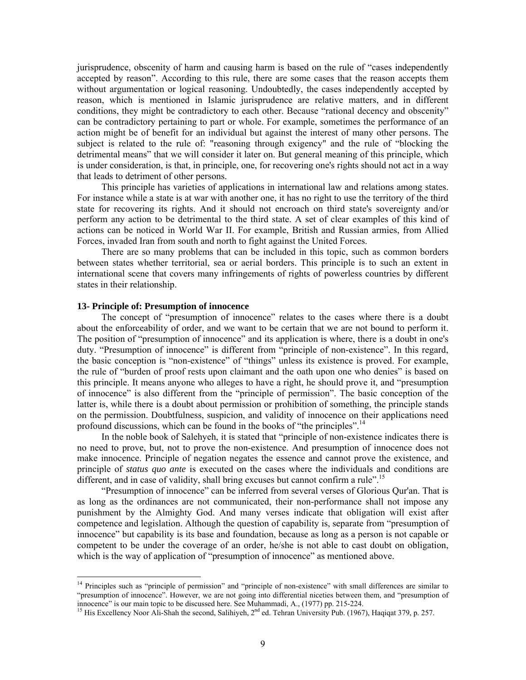jurisprudence, obscenity of harm and causing harm is based on the rule of "cases independently accepted by reason". According to this rule, there are some cases that the reason accepts them without argumentation or logical reasoning. Undoubtedly, the cases independently accepted by reason, which is mentioned in Islamic jurisprudence are relative matters, and in different conditions, they might be contradictory to each other. Because "rational decency and obscenity" can be contradictory pertaining to part or whole. For example, sometimes the performance of an action might be of benefit for an individual but against the interest of many other persons. The subject is related to the rule of: "reasoning through exigency" and the rule of "blocking the detrimental means" that we will consider it later on. But general meaning of this principle, which is under consideration, is that, in principle, one, for recovering one's rights should not act in a way that leads to detriment of other persons.

This principle has varieties of applications in international law and relations among states. For instance while a state is at war with another one, it has no right to use the territory of the third state for recovering its rights. And it should not encroach on third state's sovereignty and/or perform any action to be detrimental to the third state. A set of clear examples of this kind of actions can be noticed in World War II. For example, British and Russian armies, from Allied Forces, invaded Iran from south and north to fight against the United Forces.

There are so many problems that can be included in this topic, such as common borders between states whether territorial, sea or aerial borders. This principle is to such an extent in international scene that covers many infringements of rights of powerless countries by different states in their relationship.

## **13- Principle of: Presumption of innocence**

 $\overline{a}$ 

The concept of "presumption of innocence" relates to the cases where there is a doubt about the enforceability of order, and we want to be certain that we are not bound to perform it. The position of "presumption of innocence" and its application is where, there is a doubt in one's duty. "Presumption of innocence" is different from "principle of non-existence". In this regard, the basic conception is "non-existence" of "things" unless its existence is proved. For example, the rule of "burden of proof rests upon claimant and the oath upon one who denies" is based on this principle. It means anyone who alleges to have a right, he should prove it, and "presumption of innocence" is also different from the "principle of permission". The basic conception of the latter is, while there is a doubt about permission or prohibition of something, the principle stands on the permission. Doubtfulness, suspicion, and validity of innocence on their applications need profound discussions, which can be found in the books of "the principles".<sup>14</sup>

In the noble book of Salehyeh, it is stated that "principle of non-existence indicates there is no need to prove, but, not to prove the non-existence. And presumption of innocence does not make innocence. Principle of negation negates the essence and cannot prove the existence, and principle of *status quo ante* is executed on the cases where the individuals and conditions are different, and in case of validity, shall bring excuses but cannot confirm a rule".<sup>15</sup>

"Presumption of innocence" can be inferred from several verses of Glorious Qur'an. That is as long as the ordinances are not communicated, their non-performance shall not impose any punishment by the Almighty God. And many verses indicate that obligation will exist after competence and legislation. Although the question of capability is, separate from "presumption of innocence" but capability is its base and foundation, because as long as a person is not capable or competent to be under the coverage of an order, he/she is not able to cast doubt on obligation, which is the way of application of "presumption of innocence" as mentioned above.

<sup>&</sup>lt;sup>14</sup> Principles such as "principle of permission" and "principle of non-existence" with small differences are similar to "presumption of innocence". However, we are not going into differential niceties between them, and "presumption of innocence" is our main topic to be discussed here. See Muhammadi, A., (1977) pp. 215-224.

<sup>&</sup>lt;sup>15</sup> His Excellency Noor Ali-Shah the second, Salihiyeh,  $2<sup>nd</sup>$  ed. Tehran University Pub. (1967), Haqiqat 379, p. 257.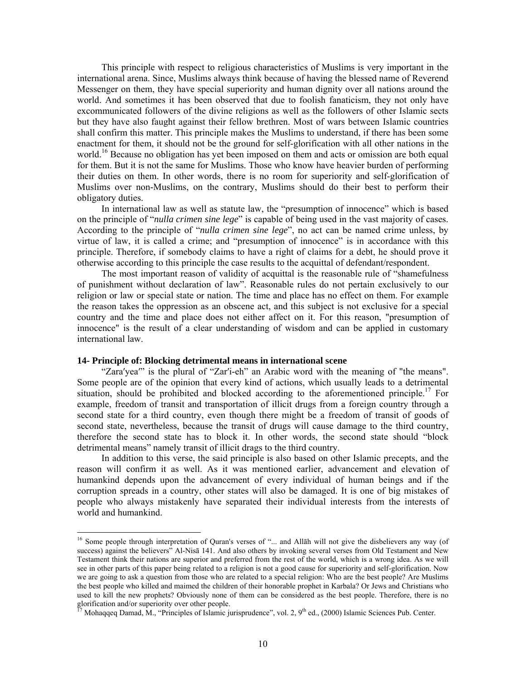This principle with respect to religious characteristics of Muslims is very important in the international arena. Since, Muslims always think because of having the blessed name of Reverend Messenger on them, they have special superiority and human dignity over all nations around the world. And sometimes it has been observed that due to foolish fanaticism, they not only have excommunicated followers of the divine religions as well as the followers of other Islamic sects but they have also faught against their fellow brethren. Most of wars between Islamic countries shall confirm this matter. This principle makes the Muslims to understand, if there has been some enactment for them, it should not be the ground for self-glorification with all other nations in the world.<sup>16</sup> Because no obligation has yet been imposed on them and acts or omission are both equal for them. But it is not the same for Muslims. Those who know have heavier burden of performing their duties on them. In other words, there is no room for superiority and self-glorification of Muslims over non-Muslims, on the contrary, Muslims should do their best to perform their obligatory duties.

In international law as well as statute law, the "presumption of innocence" which is based on the principle of "*nulla crimen sine lege*" is capable of being used in the vast majority of cases. According to the principle of "*nulla crimen sine lege*", no act can be named crime unless, by virtue of law, it is called a crime; and "presumption of innocence" is in accordance with this principle. Therefore, if somebody claims to have a right of claims for a debt, he should prove it otherwise according to this principle the case results to the acquittal of defendant/respondent.

The most important reason of validity of acquittal is the reasonable rule of "shamefulness of punishment without declaration of law". Reasonable rules do not pertain exclusively to our religion or law or special state or nation. The time and place has no effect on them. For example the reason takes the oppression as an obscene act, and this subject is not exclusive for a special country and the time and place does not either affect on it. For this reason, "presumption of innocence" is the result of a clear understanding of wisdom and can be applied in customary international law.

#### **14- Principle of: Blocking detrimental means in international scene**

 $\overline{a}$ 

"Zara′yea′" is the plural of "Zar′i-eh" an Arabic word with the meaning of "the means". Some people are of the opinion that every kind of actions, which usually leads to a detrimental situation, should be prohibited and blocked according to the aforementioned principle.<sup>17</sup> For example, freedom of transit and transportation of illicit drugs from a foreign country through a second state for a third country, even though there might be a freedom of transit of goods of second state, nevertheless, because the transit of drugs will cause damage to the third country, therefore the second state has to block it. In other words, the second state should "block detrimental means" namely transit of illicit drags to the third country.

In addition to this verse, the said principle is also based on other Islamic precepts, and the reason will confirm it as well. As it was mentioned earlier, advancement and elevation of humankind depends upon the advancement of every individual of human beings and if the corruption spreads in a country, other states will also be damaged. It is one of big mistakes of people who always mistakenly have separated their individual interests from the interests of world and humankind.

<sup>&</sup>lt;sup>16</sup> Some people through interpretation of Quran's verses of "... and Allāh will not give the disbelievers any way (of success) against the believers" Al-Nisā 141. And also others by invoking several verses from Old Testament and New Testament think their nations are superior and preferred from the rest of the world, which is a wrong idea. As we will see in other parts of this paper being related to a religion is not a good cause for superiority and self-glorification. Now we are going to ask a question from those who are related to a special religion: Who are the best people? Are Muslims the best people who killed and maimed the children of their honorable prophet in Karbala? Or Jews and Christians who used to kill the new prophets? Obviously none of them can be considered as the best people. Therefore, there is no glorification and/or superiority over other people.

Mohaqqeq Damad, M., "Principles of Islamic jurisprudence", vol. 2, 9<sup>th</sup> ed., (2000) Islamic Sciences Pub. Center.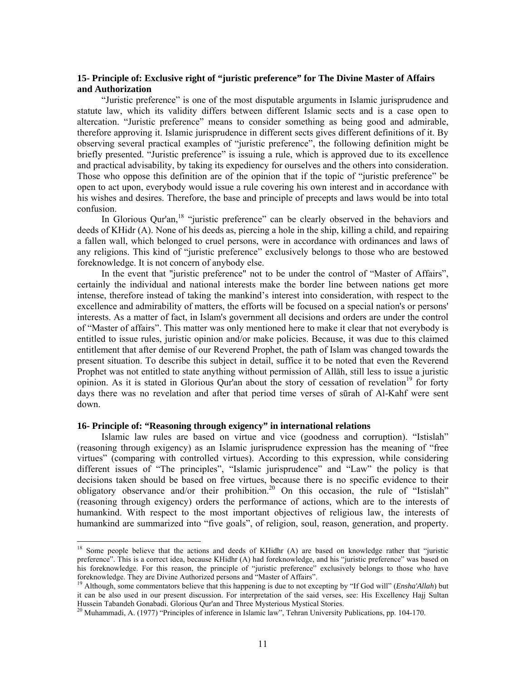# **15- Principle of: Exclusive right of "juristic preference" for The Divine Master of Affairs and Authorization**

"Juristic preference" is one of the most disputable arguments in Islamic jurisprudence and statute law, which its validity differs between different Islamic sects and is a case open to altercation. "Juristic preference" means to consider something as being good and admirable, therefore approving it. Islamic jurisprudence in different sects gives different definitions of it. By observing several practical examples of "juristic preference", the following definition might be briefly presented. "Juristic preference" is issuing a rule, which is approved due to its excellence and practical advisability, by taking its expediency for ourselves and the others into consideration. Those who oppose this definition are of the opinion that if the topic of "juristic preference" be open to act upon, everybody would issue a rule covering his own interest and in accordance with his wishes and desires. Therefore, the base and principle of precepts and laws would be into total confusion.

In Glorious Our'an,<sup>18</sup> "juristic preference" can be clearly observed in the behaviors and deeds of KHidr (A). None of his deeds as, piercing a hole in the ship, killing a child, and repairing a fallen wall, which belonged to cruel persons, were in accordance with ordinances and laws of any religions. This kind of "juristic preference" exclusively belongs to those who are bestowed foreknowledge. It is not concern of anybody else.

In the event that "juristic preference" not to be under the control of "Master of Affairs", certainly the individual and national interests make the border line between nations get more intense, therefore instead of taking the mankind's interest into consideration, with respect to the excellence and admirability of matters, the efforts will be focused on a special nation's or persons' interests. As a matter of fact, in Islam's government all decisions and orders are under the control of "Master of affairs". This matter was only mentioned here to make it clear that not everybody is entitled to issue rules, juristic opinion and/or make policies. Because, it was due to this claimed entitlement that after demise of our Reverend Prophet, the path of Islam was changed towards the present situation. To describe this subject in detail, suffice it to be noted that even the Reverend Prophet was not entitled to state anything without permission of Allāh, still less to issue a juristic opinion. As it is stated in Glorious Qur'an about the story of cessation of revelation<sup>19</sup> for forty days there was no revelation and after that period time verses of sūrah of Al-Kahf were sent down.

## **16- Principle of: "Reasoning through exigency" in international relations**

 $\overline{a}$ 

Islamic law rules are based on virtue and vice (goodness and corruption). "Istislah" (reasoning through exigency) as an Islamic jurisprudence expression has the meaning of "free virtues" (comparing with controlled virtues). According to this expression, while considering different issues of "The principles", "Islamic jurisprudence" and "Law" the policy is that decisions taken should be based on free virtues, because there is no specific evidence to their obligatory observance and/or their prohibition.<sup>20</sup> On this occasion, the rule of "Istislah" (reasoning through exigency) orders the performance of actions, which are to the interests of humankind. With respect to the most important objectives of religious law, the interests of humankind are summarized into "five goals", of religion, soul, reason, generation, and property.

<sup>&</sup>lt;sup>18</sup> Some people believe that the actions and deeds of KHidhr (A) are based on knowledge rather that "juristic preference". This is a correct idea, because KHidhr (A) had foreknowledge, and his "juristic preference" was based on his foreknowledge. For this reason, the principle of "juristic preference" exclusively belongs to those who have foreknowledge. They are Divine Authorized persons and "Master of Affairs".

<sup>&</sup>lt;sup>19</sup> Although, some commentators believe that this happening is due to not excepting by "If God will" (*Ensha'Allah*) but it can be also used in our present discussion. For interpretation of the said verses, see: His Excellency Hajj Sultan Hussein Tabandeh Gonabadi. Glorious Qur'an and Three Mysterious Mystical Stories.<br><sup>20</sup> Muhammadi, A. (1977) "Principles of inference in Islamic law", Tehran University Publications, pp. 104-170.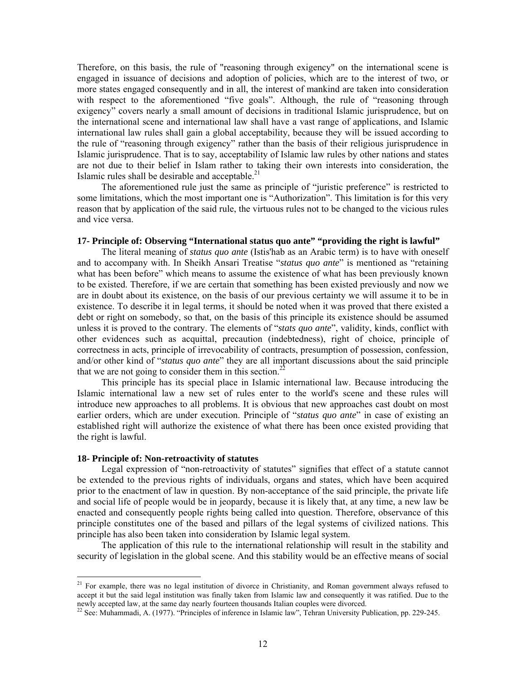Therefore, on this basis, the rule of "reasoning through exigency" on the international scene is engaged in issuance of decisions and adoption of policies, which are to the interest of two, or more states engaged consequently and in all, the interest of mankind are taken into consideration with respect to the aforementioned "five goals". Although, the rule of "reasoning through exigency" covers nearly a small amount of decisions in traditional Islamic jurisprudence, but on the international scene and international law shall have a vast range of applications, and Islamic international law rules shall gain a global acceptability, because they will be issued according to the rule of "reasoning through exigency" rather than the basis of their religious jurisprudence in Islamic jurisprudence. That is to say, acceptability of Islamic law rules by other nations and states are not due to their belief in Islam rather to taking their own interests into consideration, the Islamic rules shall be desirable and acceptable.<sup>21</sup>

The aforementioned rule just the same as principle of "juristic preference" is restricted to some limitations, which the most important one is "Authorization". This limitation is for this very reason that by application of the said rule, the virtuous rules not to be changed to the vicious rules and vice versa.

## **17- Principle of: Observing "International status quo ante" "providing the right is lawful"**

The literal meaning of *status quo ante* (Istis'hab as an Arabic term) is to have with oneself and to accompany with. In Sheikh Ansari Treatise "*status quo ante*" is mentioned as "retaining what has been before" which means to assume the existence of what has been previously known to be existed. Therefore, if we are certain that something has been existed previously and now we are in doubt about its existence, on the basis of our previous certainty we will assume it to be in existence. To describe it in legal terms, it should be noted when it was proved that there existed a debt or right on somebody, so that, on the basis of this principle its existence should be assumed unless it is proved to the contrary. The elements of "*stats quo ante*", validity, kinds, conflict with other evidences such as acquittal, precaution (indebtedness), right of choice, principle of correctness in acts, principle of irrevocability of contracts, presumption of possession, confession, and/or other kind of "*status quo ante*" they are all important discussions about the said principle that we are not going to consider them in this section.<sup>2</sup>

This principle has its special place in Islamic international law. Because introducing the Islamic international law a new set of rules enter to the world's scene and these rules will introduce new approaches to all problems. It is obvious that new approaches cast doubt on most earlier orders, which are under execution. Principle of "*status quo ante*" in case of existing an established right will authorize the existence of what there has been once existed providing that the right is lawful.

## **18- Principle of: Non-retroactivity of statutes**

 $\overline{a}$ 

Legal expression of "non-retroactivity of statutes" signifies that effect of a statute cannot be extended to the previous rights of individuals, organs and states, which have been acquired prior to the enactment of law in question. By non-acceptance of the said principle, the private life and social life of people would be in jeopardy, because it is likely that, at any time, a new law be enacted and consequently people rights being called into question. Therefore, observance of this principle constitutes one of the based and pillars of the legal systems of civilized nations. This principle has also been taken into consideration by Islamic legal system.

The application of this rule to the international relationship will result in the stability and security of legislation in the global scene. And this stability would be an effective means of social

<sup>&</sup>lt;sup>21</sup> For example, there was no legal institution of divorce in Christianity, and Roman government always refused to accept it but the said legal institution was finally taken from Islamic law and consequently it was ratified. Due to the newly accepted law, at the same day nearly fourteen thousands Italian couples were divorced.<br><sup>22</sup> See: Muhammadi, A. (1977). "Principles of inference in Islamic law", Tehran University Publication, pp. 229-245.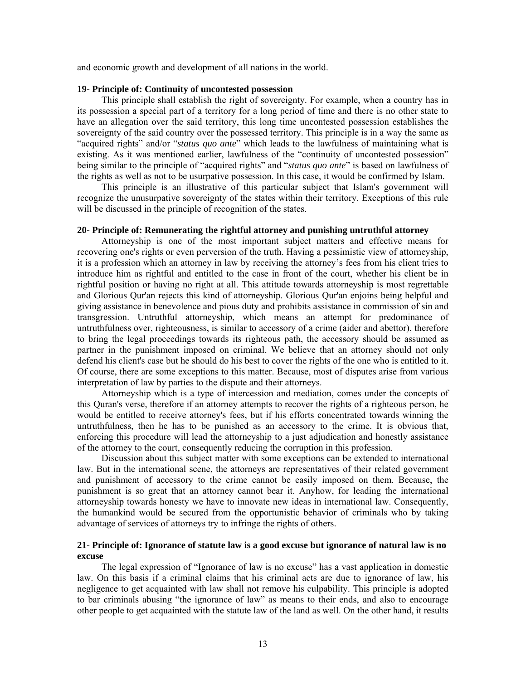and economic growth and development of all nations in the world.

## **19- Principle of: Continuity of uncontested possession**

This principle shall establish the right of sovereignty. For example, when a country has in its possession a special part of a territory for a long period of time and there is no other state to have an allegation over the said territory, this long time uncontested possession establishes the sovereignty of the said country over the possessed territory. This principle is in a way the same as "acquired rights" and/or "*status quo ante*" which leads to the lawfulness of maintaining what is existing. As it was mentioned earlier, lawfulness of the "continuity of uncontested possession" being similar to the principle of "acquired rights" and "*status quo ante*" is based on lawfulness of the rights as well as not to be usurpative possession. In this case, it would be confirmed by Islam.

This principle is an illustrative of this particular subject that Islam's government will recognize the unusurpative sovereignty of the states within their territory. Exceptions of this rule will be discussed in the principle of recognition of the states.

## **20- Principle of: Remunerating the rightful attorney and punishing untruthful attorney**

Attorneyship is one of the most important subject matters and effective means for recovering one's rights or even perversion of the truth. Having a pessimistic view of attorneyship, it is a profession which an attorney in law by receiving the attorney's fees from his client tries to introduce him as rightful and entitled to the case in front of the court, whether his client be in rightful position or having no right at all. This attitude towards attorneyship is most regrettable and Glorious Qur'an rejects this kind of attorneyship. Glorious Qur'an enjoins being helpful and giving assistance in benevolence and pious duty and prohibits assistance in commission of sin and transgression. Untruthful attorneyship, which means an attempt for predominance of untruthfulness over, righteousness, is similar to accessory of a crime (aider and abettor), therefore to bring the legal proceedings towards its righteous path, the accessory should be assumed as partner in the punishment imposed on criminal. We believe that an attorney should not only defend his client's case but he should do his best to cover the rights of the one who is entitled to it. Of course, there are some exceptions to this matter. Because, most of disputes arise from various interpretation of law by parties to the dispute and their attorneys.

Attorneyship which is a type of intercession and mediation, comes under the concepts of this Quran's verse, therefore if an attorney attempts to recover the rights of a righteous person, he would be entitled to receive attorney's fees, but if his efforts concentrated towards winning the untruthfulness, then he has to be punished as an accessory to the crime. It is obvious that, enforcing this procedure will lead the attorneyship to a just adjudication and honestly assistance of the attorney to the court, consequently reducing the corruption in this profession.

Discussion about this subject matter with some exceptions can be extended to international law. But in the international scene, the attorneys are representatives of their related government and punishment of accessory to the crime cannot be easily imposed on them. Because, the punishment is so great that an attorney cannot bear it. Anyhow, for leading the international attorneyship towards honesty we have to innovate new ideas in international law. Consequently, the humankind would be secured from the opportunistic behavior of criminals who by taking advantage of services of attorneys try to infringe the rights of others.

## **21- Principle of: Ignorance of statute law is a good excuse but ignorance of natural law is no excuse**

The legal expression of "Ignorance of law is no excuse" has a vast application in domestic law. On this basis if a criminal claims that his criminal acts are due to ignorance of law, his negligence to get acquainted with law shall not remove his culpability. This principle is adopted to bar criminals abusing "the ignorance of law" as means to their ends, and also to encourage other people to get acquainted with the statute law of the land as well. On the other hand, it results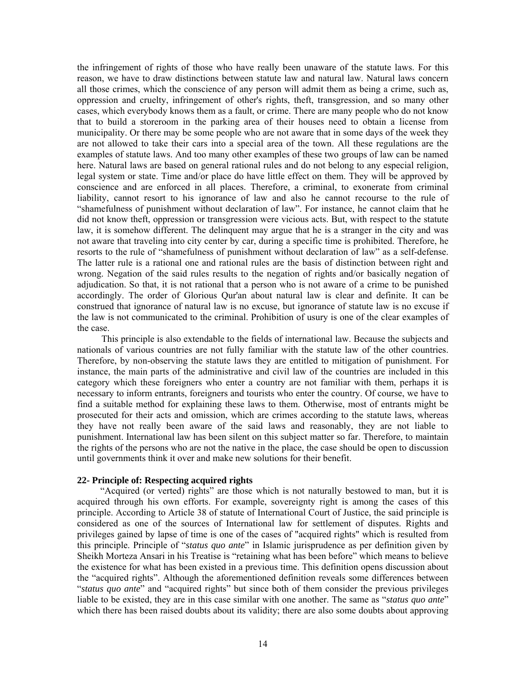the infringement of rights of those who have really been unaware of the statute laws. For this reason, we have to draw distinctions between statute law and natural law. Natural laws concern all those crimes, which the conscience of any person will admit them as being a crime, such as, oppression and cruelty, infringement of other's rights, theft, transgression, and so many other cases, which everybody knows them as a fault, or crime. There are many people who do not know that to build a storeroom in the parking area of their houses need to obtain a license from municipality. Or there may be some people who are not aware that in some days of the week they are not allowed to take their cars into a special area of the town. All these regulations are the examples of statute laws. And too many other examples of these two groups of law can be named here. Natural laws are based on general rational rules and do not belong to any especial religion, legal system or state. Time and/or place do have little effect on them. They will be approved by conscience and are enforced in all places. Therefore, a criminal, to exonerate from criminal liability, cannot resort to his ignorance of law and also he cannot recourse to the rule of "shamefulness of punishment without declaration of law". For instance, he cannot claim that he did not know theft, oppression or transgression were vicious acts. But, with respect to the statute law, it is somehow different. The delinquent may argue that he is a stranger in the city and was not aware that traveling into city center by car, during a specific time is prohibited. Therefore, he resorts to the rule of "shamefulness of punishment without declaration of law" as a self-defense. The latter rule is a rational one and rational rules are the basis of distinction between right and wrong. Negation of the said rules results to the negation of rights and/or basically negation of adjudication. So that, it is not rational that a person who is not aware of a crime to be punished accordingly. The order of Glorious Qur'an about natural law is clear and definite. It can be construed that ignorance of natural law is no excuse, but ignorance of statute law is no excuse if the law is not communicated to the criminal. Prohibition of usury is one of the clear examples of the case.

This principle is also extendable to the fields of international law. Because the subjects and nationals of various countries are not fully familiar with the statute law of the other countries. Therefore, by non-observing the statute laws they are entitled to mitigation of punishment. For instance, the main parts of the administrative and civil law of the countries are included in this category which these foreigners who enter a country are not familiar with them, perhaps it is necessary to inform entrants, foreigners and tourists who enter the country. Of course, we have to find a suitable method for explaining these laws to them. Otherwise, most of entrants might be prosecuted for their acts and omission, which are crimes according to the statute laws, whereas they have not really been aware of the said laws and reasonably, they are not liable to punishment. International law has been silent on this subject matter so far. Therefore, to maintain the rights of the persons who are not the native in the place, the case should be open to discussion until governments think it over and make new solutions for their benefit.

## **22- Principle of: Respecting acquired rights**

"Acquired (or verted) rights" are those which is not naturally bestowed to man, but it is acquired through his own efforts. For example, sovereignty right is among the cases of this principle. According to Article 38 of statute of International Court of Justice, the said principle is considered as one of the sources of International law for settlement of disputes. Rights and privileges gained by lapse of time is one of the cases of "acquired rights" which is resulted from this principle. Principle of "*status quo ante*" in Islamic jurisprudence as per definition given by Sheikh Morteza Ansari in his Treatise is "retaining what has been before" which means to believe the existence for what has been existed in a previous time. This definition opens discussion about the "acquired rights". Although the aforementioned definition reveals some differences between "*status quo ante*" and "acquired rights" but since both of them consider the previous privileges liable to be existed, they are in this case similar with one another. The same as "*status quo ante*" which there has been raised doubts about its validity; there are also some doubts about approving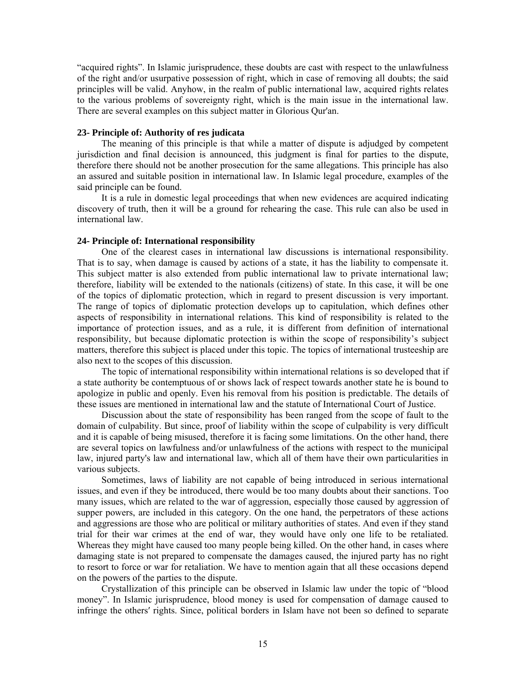"acquired rights". In Islamic jurisprudence, these doubts are cast with respect to the unlawfulness of the right and/or usurpative possession of right, which in case of removing all doubts; the said principles will be valid. Anyhow, in the realm of public international law, acquired rights relates to the various problems of sovereignty right, which is the main issue in the international law. There are several examples on this subject matter in Glorious Qur'an.

## **23- Principle of: Authority of res judicata**

The meaning of this principle is that while a matter of dispute is adjudged by competent jurisdiction and final decision is announced, this judgment is final for parties to the dispute, therefore there should not be another prosecution for the same allegations. This principle has also an assured and suitable position in international law. In Islamic legal procedure, examples of the said principle can be found.

It is a rule in domestic legal proceedings that when new evidences are acquired indicating discovery of truth, then it will be a ground for rehearing the case. This rule can also be used in international law.

## **24- Principle of: International responsibility**

One of the clearest cases in international law discussions is international responsibility. That is to say, when damage is caused by actions of a state, it has the liability to compensate it. This subject matter is also extended from public international law to private international law; therefore, liability will be extended to the nationals (citizens) of state. In this case, it will be one of the topics of diplomatic protection, which in regard to present discussion is very important. The range of topics of diplomatic protection develops up to capitulation, which defines other aspects of responsibility in international relations. This kind of responsibility is related to the importance of protection issues, and as a rule, it is different from definition of international responsibility, but because diplomatic protection is within the scope of responsibility's subject matters, therefore this subject is placed under this topic. The topics of international trusteeship are also next to the scopes of this discussion.

The topic of international responsibility within international relations is so developed that if a state authority be contemptuous of or shows lack of respect towards another state he is bound to apologize in public and openly. Even his removal from his position is predictable. The details of these issues are mentioned in international law and the statute of International Court of Justice.

Discussion about the state of responsibility has been ranged from the scope of fault to the domain of culpability. But since, proof of liability within the scope of culpability is very difficult and it is capable of being misused, therefore it is facing some limitations. On the other hand, there are several topics on lawfulness and/or unlawfulness of the actions with respect to the municipal law, injured party's law and international law, which all of them have their own particularities in various subjects.

Sometimes, laws of liability are not capable of being introduced in serious international issues, and even if they be introduced, there would be too many doubts about their sanctions. Too many issues, which are related to the war of aggression, especially those caused by aggression of supper powers, are included in this category. On the one hand, the perpetrators of these actions and aggressions are those who are political or military authorities of states. And even if they stand trial for their war crimes at the end of war, they would have only one life to be retaliated. Whereas they might have caused too many people being killed. On the other hand, in cases where damaging state is not prepared to compensate the damages caused, the injured party has no right to resort to force or war for retaliation. We have to mention again that all these occasions depend on the powers of the parties to the dispute.

Crystallization of this principle can be observed in Islamic law under the topic of "blood money". In Islamic jurisprudence, blood money is used for compensation of damage caused to infringe the others′ rights. Since, political borders in Islam have not been so defined to separate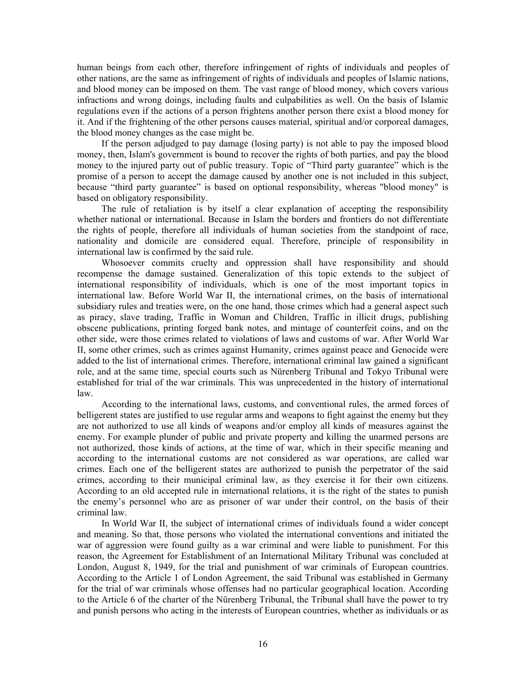human beings from each other, therefore infringement of rights of individuals and peoples of other nations, are the same as infringement of rights of individuals and peoples of Islamic nations, and blood money can be imposed on them. The vast range of blood money, which covers various infractions and wrong doings, including faults and culpabilities as well. On the basis of Islamic regulations even if the actions of a person frightens another person there exist a blood money for it. And if the frightening of the other persons causes material, spiritual and/or corporeal damages, the blood money changes as the case might be.

If the person adjudged to pay damage (losing party) is not able to pay the imposed blood money, then, Islam's government is bound to recover the rights of both parties, and pay the blood money to the injured party out of public treasury. Topic of "Third party guarantee" which is the promise of a person to accept the damage caused by another one is not included in this subject, because "third party guarantee" is based on optional responsibility, whereas "blood money" is based on obligatory responsibility.

The rule of retaliation is by itself a clear explanation of accepting the responsibility whether national or international. Because in Islam the borders and frontiers do not differentiate the rights of people, therefore all individuals of human societies from the standpoint of race, nationality and domicile are considered equal. Therefore, principle of responsibility in international law is confirmed by the said rule.

Whosoever commits cruelty and oppression shall have responsibility and should recompense the damage sustained. Generalization of this topic extends to the subject of international responsibility of individuals, which is one of the most important topics in international law. Before World War II, the international crimes, on the basis of international subsidiary rules and treaties were, on the one hand, those crimes which had a general aspect such as piracy, slave trading, Traffic in Woman and Children, Traffic in illicit drugs, publishing obscene publications, printing forged bank notes, and mintage of counterfeit coins, and on the other side, were those crimes related to violations of laws and customs of war. After World War II, some other crimes, such as crimes against Humanity, crimes against peace and Genocide were added to the list of international crimes. Therefore, international criminal law gained a significant role, and at the same time, special courts such as Nürenberg Tribunal and Tokyo Tribunal were established for trial of the war criminals. This was unprecedented in the history of international law.

According to the international laws, customs, and conventional rules, the armed forces of belligerent states are justified to use regular arms and weapons to fight against the enemy but they are not authorized to use all kinds of weapons and/or employ all kinds of measures against the enemy. For example plunder of public and private property and killing the unarmed persons are not authorized, those kinds of actions, at the time of war, which in their specific meaning and according to the international customs are not considered as war operations, are called war crimes. Each one of the belligerent states are authorized to punish the perpetrator of the said crimes, according to their municipal criminal law, as they exercise it for their own citizens. According to an old accepted rule in international relations, it is the right of the states to punish the enemy's personnel who are as prisoner of war under their control, on the basis of their criminal law.

In World War II, the subject of international crimes of individuals found a wider concept and meaning. So that, those persons who violated the international conventions and initiated the war of aggression were found guilty as a war criminal and were liable to punishment. For this reason, the Agreement for Establishment of an International Military Tribunal was concluded at London, August 8, 1949, for the trial and punishment of war criminals of European countries. According to the Article 1 of London Agreement, the said Tribunal was established in Germany for the trial of war criminals whose offenses had no particular geographical location. According to the Article 6 of the charter of the Nürenberg Tribunal, the Tribunal shall have the power to try and punish persons who acting in the interests of European countries, whether as individuals or as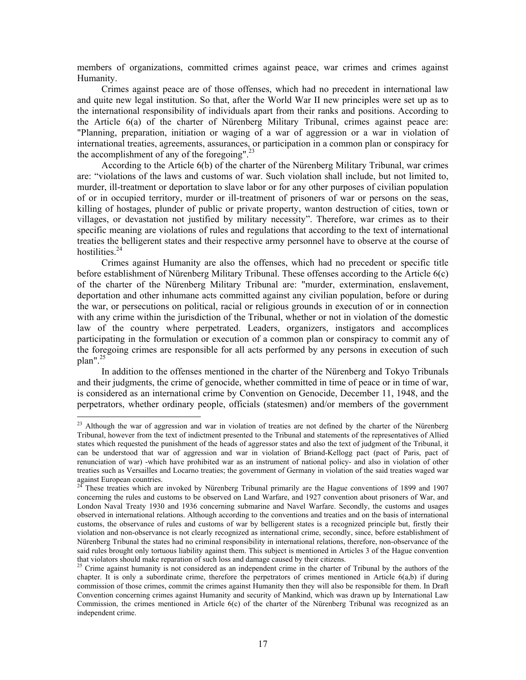members of organizations, committed crimes against peace, war crimes and crimes against Humanity.

Crimes against peace are of those offenses, which had no precedent in international law and quite new legal institution. So that, after the World War II new principles were set up as to the international responsibility of individuals apart from their ranks and positions. According to the Article 6(a) of the charter of Nürenberg Military Tribunal, crimes against peace are: "Planning, preparation, initiation or waging of a war of aggression or a war in violation of international treaties, agreements, assurances, or participation in a common plan or conspiracy for the accomplishment of any of the foregoing". $^{23}$ 

According to the Article 6(b) of the charter of the Nürenberg Military Tribunal, war crimes are: "violations of the laws and customs of war. Such violation shall include, but not limited to, murder, ill-treatment or deportation to slave labor or for any other purposes of civilian population of or in occupied territory, murder or ill-treatment of prisoners of war or persons on the seas, killing of hostages, plunder of public or private property, wanton destruction of cities, town or villages, or devastation not justified by military necessity". Therefore, war crimes as to their specific meaning are violations of rules and regulations that according to the text of international treaties the belligerent states and their respective army personnel have to observe at the course of hostilities. $24$ 

Crimes against Humanity are also the offenses, which had no precedent or specific title before establishment of Nürenberg Military Tribunal. These offenses according to the Article 6(c) of the charter of the Nürenberg Military Tribunal are: "murder, extermination, enslavement, deportation and other inhumane acts committed against any civilian population, before or during the war, or persecutions on political, racial or religious grounds in execution of or in connection with any crime within the jurisdiction of the Tribunal, whether or not in violation of the domestic law of the country where perpetrated. Leaders, organizers, instigators and accomplices participating in the formulation or execution of a common plan or conspiracy to commit any of the foregoing crimes are responsible for all acts performed by any persons in execution of such plan" $25$ 

In addition to the offenses mentioned in the charter of the Nürenberg and Tokyo Tribunals and their judgments, the crime of genocide, whether committed in time of peace or in time of war, is considered as an international crime by Convention on Genocide, December 11, 1948, and the perpetrators, whether ordinary people, officials (statesmen) and/or members of the government

<sup>&</sup>lt;sup>23</sup> Although the war of aggression and war in violation of treaties are not defined by the charter of the Nürenberg Tribunal, however from the text of indictment presented to the Tribunal and statements of the representatives of Allied states which requested the punishment of the heads of aggressor states and also the text of judgment of the Tribunal, it can be understood that war of aggression and war in violation of Briand-Kellogg pact (pact of Paris, pact of renunciation of war) -which have prohibited war as an instrument of national policy- and also in violation of other treaties such as Versailles and Locarno treaties; the government of Germany in violation of the said treaties waged war against European countries.

 $24$  These treaties which are invoked by Nürenberg Tribunal primarily are the Hague conventions of 1899 and 1907 concerning the rules and customs to be observed on Land Warfare, and 1927 convention about prisoners of War, and London Naval Treaty 1930 and 1936 concerning submarine and Navel Warfare. Secondly, the customs and usages observed in international relations. Although according to the conventions and treaties and on the basis of international customs, the observance of rules and customs of war by belligerent states is a recognized principle but, firstly their violation and non-observance is not clearly recognized as international crime, secondly, since, before establishment of Nürenberg Tribunal the states had no criminal responsibility in international relations, therefore, non-observance of the said rules brought only tortuous liability against them. This subject is mentioned in Articles 3 of the Hague convention that violators should make reparation of such loss and damage caused by their citizens. 25 Crime against humanity is not considered as an independent crime in the charter of Tribunal by the authors of the

chapter. It is only a subordinate crime, therefore the perpetrators of crimes mentioned in Article 6(a,b) if during commission of those crimes, commit the crimes against Humanity then they will also be responsible for them. In Draft Convention concerning crimes against Humanity and security of Mankind, which was drawn up by International Law Commission, the crimes mentioned in Article 6(c) of the charter of the Nürenberg Tribunal was recognized as an independent crime.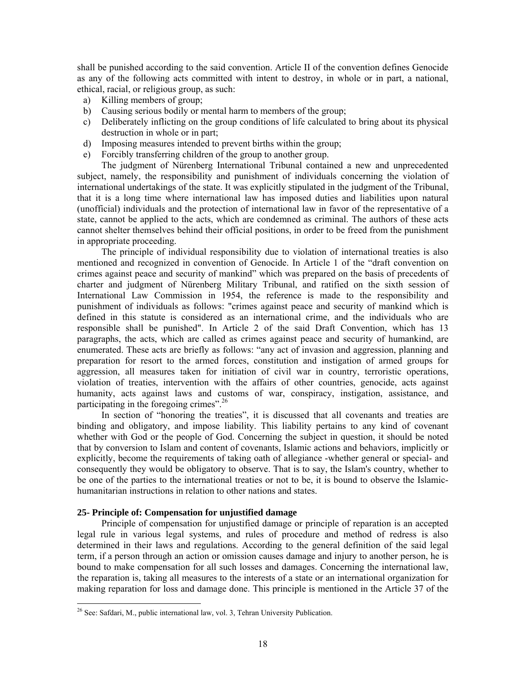shall be punished according to the said convention. Article II of the convention defines Genocide as any of the following acts committed with intent to destroy, in whole or in part, a national, ethical, racial, or religious group, as such:

- a) Killing members of group;
- b) Causing serious bodily or mental harm to members of the group;
- c) Deliberately inflicting on the group conditions of life calculated to bring about its physical destruction in whole or in part;
- d) Imposing measures intended to prevent births within the group;
- e) Forcibly transferring children of the group to another group.

The judgment of Nürenberg International Tribunal contained a new and unprecedented subject, namely, the responsibility and punishment of individuals concerning the violation of international undertakings of the state. It was explicitly stipulated in the judgment of the Tribunal, that it is a long time where international law has imposed duties and liabilities upon natural (unofficial) individuals and the protection of international law in favor of the representative of a state, cannot be applied to the acts, which are condemned as criminal. The authors of these acts cannot shelter themselves behind their official positions, in order to be freed from the punishment in appropriate proceeding.

The principle of individual responsibility due to violation of international treaties is also mentioned and recognized in convention of Genocide. In Article 1 of the "draft convention on crimes against peace and security of mankind" which was prepared on the basis of precedents of charter and judgment of Nürenberg Military Tribunal, and ratified on the sixth session of International Law Commission in 1954, the reference is made to the responsibility and punishment of individuals as follows: "crimes against peace and security of mankind which is defined in this statute is considered as an international crime, and the individuals who are responsible shall be punished". In Article 2 of the said Draft Convention, which has 13 paragraphs, the acts, which are called as crimes against peace and security of humankind, are enumerated. These acts are briefly as follows: "any act of invasion and aggression, planning and preparation for resort to the armed forces, constitution and instigation of armed groups for aggression, all measures taken for initiation of civil war in country, terroristic operations, violation of treaties, intervention with the affairs of other countries, genocide, acts against humanity, acts against laws and customs of war, conspiracy, instigation, assistance, and participating in the foregoing crimes".26

In section of "honoring the treaties", it is discussed that all covenants and treaties are binding and obligatory, and impose liability. This liability pertains to any kind of covenant whether with God or the people of God. Concerning the subject in question, it should be noted that by conversion to Islam and content of covenants, Islamic actions and behaviors, implicitly or explicitly, become the requirements of taking oath of allegiance -whether general or special- and consequently they would be obligatory to observe. That is to say, the Islam's country, whether to be one of the parties to the international treaties or not to be, it is bound to observe the Islamichumanitarian instructions in relation to other nations and states.

# **25- Principle of: Compensation for unjustified damage**

 $\overline{a}$ 

Principle of compensation for unjustified damage or principle of reparation is an accepted legal rule in various legal systems, and rules of procedure and method of redress is also determined in their laws and regulations. According to the general definition of the said legal term, if a person through an action or omission causes damage and injury to another person, he is bound to make compensation for all such losses and damages. Concerning the international law, the reparation is, taking all measures to the interests of a state or an international organization for making reparation for loss and damage done. This principle is mentioned in the Article 37 of the

 $26$  See: Safdari, M., public international law, vol. 3, Tehran University Publication.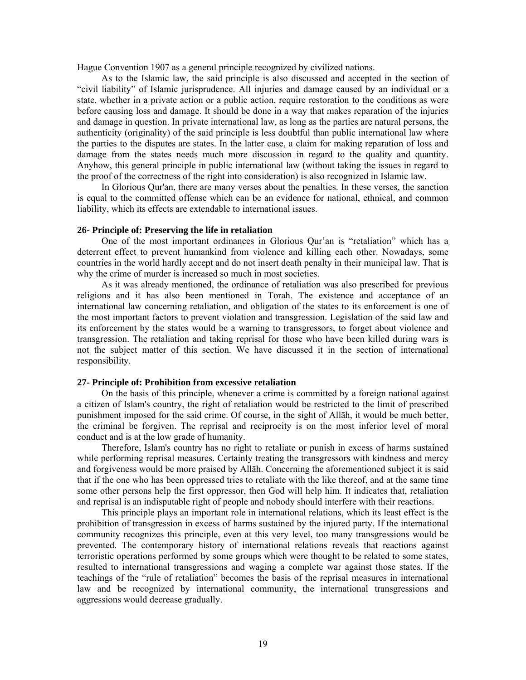Hague Convention 1907 as a general principle recognized by civilized nations.

As to the Islamic law, the said principle is also discussed and accepted in the section of "civil liability" of Islamic jurisprudence. All injuries and damage caused by an individual or a state, whether in a private action or a public action, require restoration to the conditions as were before causing loss and damage. It should be done in a way that makes reparation of the injuries and damage in question. In private international law, as long as the parties are natural persons, the authenticity (originality) of the said principle is less doubtful than public international law where the parties to the disputes are states. In the latter case, a claim for making reparation of loss and damage from the states needs much more discussion in regard to the quality and quantity. Anyhow, this general principle in public international law (without taking the issues in regard to the proof of the correctness of the right into consideration) is also recognized in Islamic law.

In Glorious Qur'an, there are many verses about the penalties. In these verses, the sanction is equal to the committed offense which can be an evidence for national, ethnical, and common liability, which its effects are extendable to international issues.

#### **26- Principle of: Preserving the life in retaliation**

One of the most important ordinances in Glorious Qur'an is "retaliation" which has a deterrent effect to prevent humankind from violence and killing each other. Nowadays, some countries in the world hardly accept and do not insert death penalty in their municipal law. That is why the crime of murder is increased so much in most societies.

As it was already mentioned, the ordinance of retaliation was also prescribed for previous religions and it has also been mentioned in Torah. The existence and acceptance of an international law concerning retaliation, and obligation of the states to its enforcement is one of the most important factors to prevent violation and transgression. Legislation of the said law and its enforcement by the states would be a warning to transgressors, to forget about violence and transgression. The retaliation and taking reprisal for those who have been killed during wars is not the subject matter of this section. We have discussed it in the section of international responsibility.

## **27- Principle of: Prohibition from excessive retaliation**

On the basis of this principle, whenever a crime is committed by a foreign national against a citizen of Islam's country, the right of retaliation would be restricted to the limit of prescribed punishment imposed for the said crime. Of course, in the sight of Allāh, it would be much better, the criminal be forgiven. The reprisal and reciprocity is on the most inferior level of moral conduct and is at the low grade of humanity.

Therefore, Islam's country has no right to retaliate or punish in excess of harms sustained while performing reprisal measures. Certainly treating the transgressors with kindness and mercy and forgiveness would be more praised by Allāh. Concerning the aforementioned subject it is said that if the one who has been oppressed tries to retaliate with the like thereof, and at the same time some other persons help the first oppressor, then God will help him. It indicates that, retaliation and reprisal is an indisputable right of people and nobody should interfere with their reactions.

This principle plays an important role in international relations, which its least effect is the prohibition of transgression in excess of harms sustained by the injured party. If the international community recognizes this principle, even at this very level, too many transgressions would be prevented. The contemporary history of international relations reveals that reactions against terroristic operations performed by some groups which were thought to be related to some states, resulted to international transgressions and waging a complete war against those states. If the teachings of the "rule of retaliation" becomes the basis of the reprisal measures in international law and be recognized by international community, the international transgressions and aggressions would decrease gradually.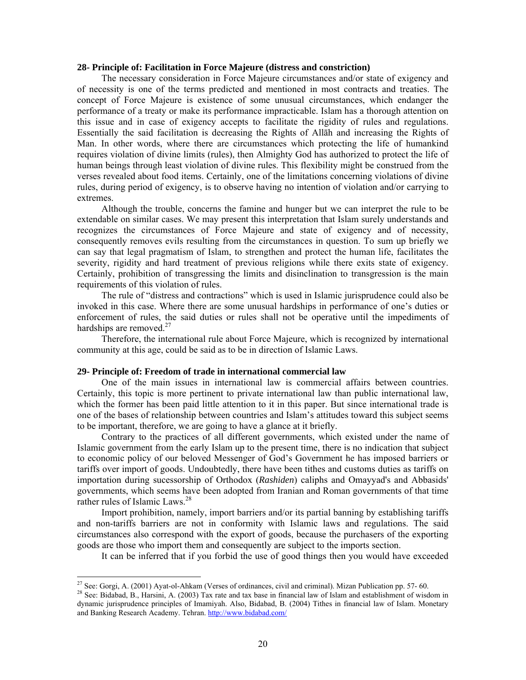## **28- Principle of: Facilitation in Force Majeure (distress and constriction)**

The necessary consideration in Force Majeure circumstances and/or state of exigency and of necessity is one of the terms predicted and mentioned in most contracts and treaties. The concept of Force Majeure is existence of some unusual circumstances, which endanger the performance of a treaty or make its performance impracticable. Islam has a thorough attention on this issue and in case of exigency accepts to facilitate the rigidity of rules and regulations. Essentially the said facilitation is decreasing the Rights of Allāh and increasing the Rights of Man. In other words, where there are circumstances which protecting the life of humankind requires violation of divine limits (rules), then Almighty God has authorized to protect the life of human beings through least violation of divine rules. This flexibility might be construed from the verses revealed about food items. Certainly, one of the limitations concerning violations of divine rules, during period of exigency, is to observe having no intention of violation and/or carrying to extremes.

Although the trouble, concerns the famine and hunger but we can interpret the rule to be extendable on similar cases. We may present this interpretation that Islam surely understands and recognizes the circumstances of Force Majeure and state of exigency and of necessity, consequently removes evils resulting from the circumstances in question. To sum up briefly we can say that legal pragmatism of Islam, to strengthen and protect the human life, facilitates the severity, rigidity and hard treatment of previous religions while there exits state of exigency. Certainly, prohibition of transgressing the limits and disinclination to transgression is the main requirements of this violation of rules.

The rule of "distress and contractions" which is used in Islamic jurisprudence could also be invoked in this case. Where there are some unusual hardships in performance of one's duties or enforcement of rules, the said duties or rules shall not be operative until the impediments of hardships are removed. $27$ 

Therefore, the international rule about Force Majeure, which is recognized by international community at this age, could be said as to be in direction of Islamic Laws.

#### **29- Principle of: Freedom of trade in international commercial law**

One of the main issues in international law is commercial affairs between countries. Certainly, this topic is more pertinent to private international law than public international law, which the former has been paid little attention to it in this paper. But since international trade is one of the bases of relationship between countries and Islam's attitudes toward this subject seems to be important, therefore, we are going to have a glance at it briefly.

Contrary to the practices of all different governments, which existed under the name of Islamic government from the early Islam up to the present time, there is no indication that subject to economic policy of our beloved Messenger of God's Government he has imposed barriers or tariffs over import of goods. Undoubtedly, there have been tithes and customs duties as tariffs on importation during sucessorship of Orthodox (*Rashiden*) caliphs and Omayyad's and Abbasids' governments, which seems have been adopted from Iranian and Roman governments of that time rather rules of Islamic Laws.<sup>28</sup>

Import prohibition, namely, import barriers and/or its partial banning by establishing tariffs and non-tariffs barriers are not in conformity with Islamic laws and regulations. The said circumstances also correspond with the export of goods, because the purchasers of the exporting goods are those who import them and consequently are subject to the imports section.

It can be inferred that if you forbid the use of good things then you would have exceeded

<sup>&</sup>lt;sup>27</sup> See: Gorgi, A. (2001) Ayat-ol-Ahkam (Verses of ordinances, civil and criminal). Mizan Publication pp. 57- 60.

<sup>&</sup>lt;sup>28</sup> See: Bidabad, B., Harsini, A. (2003) Tax rate and tax base in financial law of Islam and establishment of wisdom in dynamic jurisprudence principles of Imamiyah. Also, Bidabad, B. (2004) Tithes in financial law of Islam. Monetary and Banking Research Academy. Tehran. http://www.bidabad.com/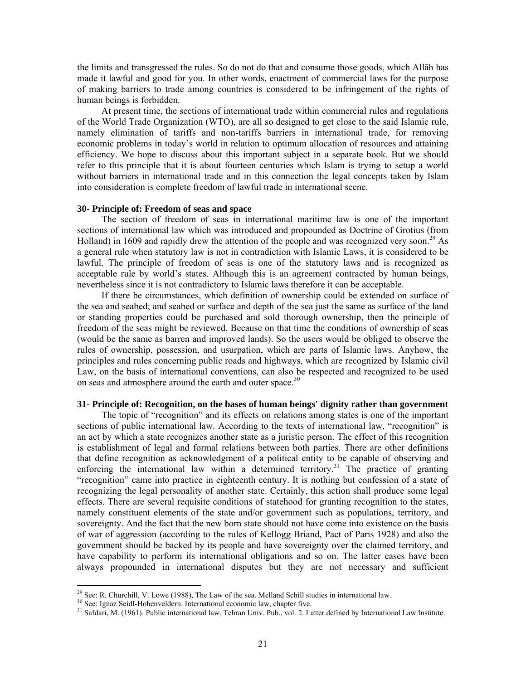the limits and transgressed the rules. So do not do that and consume those goods, which Allāh has made it lawful and good for you. In other words, enactment of commercial laws for the purpose of making barriers to trade among countries is considered to be infringement of the rights of human beings is forbidden.

At present time, the sections of international trade within commercial rules and regulations of the World Trade Organization (WTO), are all so designed to get close to the said Islamic rule, namely elimination of tariffs and non-tariffs barriers in international trade, for removing economic problems in today's world in relation to optimum allocation of resources and attaining efficiency. We hope to discuss about this important subject in a separate book. But we should refer to this principle that it is about fourteen centuries which Islam is trying to setup a world without barriers in international trade and in this connection the legal concepts taken by Islam into consideration is complete freedom of lawful trade in international scene.

## **30- Principle of: Freedom of seas and space**

The section of freedom of seas in international maritime law is one of the important sections of international law which was introduced and propounded as Doctrine of Grotius (from Holland) in 1609 and rapidly drew the attention of the people and was recognized very soon.<sup>29</sup> As a general rule when statutory law is not in contradiction with Islamic Laws, it is considered to be lawful. The principle of freedom of seas is one of the statutory laws and is recognized as acceptable rule by world's states. Although this is an agreement contracted by human beings, nevertheless since it is not contradictory to Islamic laws therefore it can be acceptable.

If there be circumstances, which definition of ownership could be extended on surface of the sea and seabed; and seabed or surface and depth of the sea just the same as surface of the land or standing properties could be purchased and sold thorough ownership, then the principle of freedom of the seas might be reviewed. Because on that time the conditions of ownership of seas (would be the same as barren and improved lands). So the users would be obliged to observe the rules of ownership, possession, and usurpation, which are parts of Islamic laws. Anyhow, the principles and rules concerning public roads and highways, which are recognized by Islamic civil Law, on the basis of international conventions, can also be respected and recognized to be used on seas and atmosphere around the earth and outer space.<sup>30</sup>

#### **31- Principle of: Recognition, on the bases of human beings' dignity rather than government**

The topic of "recognition" and its effects on relations among states is one of the important sections of public international law. According to the texts of international law, "recognition" is an act by which a state recognizes another state as a juristic person. The effect of this recognition is establishment of legal and formal relations between both parties. There are other definitions that define recognition as acknowledgment of a political entity to be capable of observing and enforcing the international law within a determined territory.<sup>31</sup> The practice of granting "recognition" came into practice in eighteenth century. It is nothing but confession of a state of recognizing the legal personality of another state. Certainly, this action shall produce some legal effects. There are several requisite conditions of statehood for granting recognition to the states, namely constituent elements of the state and/or government such as populations, territory, and sovereignty. And the fact that the new born state should not have come into existence on the basis of war of aggression (according to the rules of Kellogg Briand, Pact of Paris 1928) and also the government should be backed by its people and have sovereignty over the claimed territory, and have capability to perform its international obligations and so on. The latter cases have been always propounded in international disputes but they are not necessary and sufficient

<sup>&</sup>lt;sup>29</sup> See: R. Churchill, V. Lowe (1988), The Law of the sea. Melland Schill studies in international law.  $^{30}$  See: Ignaz Seidl-Hohenveldern. International economic law, chapter five.

<sup>&</sup>lt;sup>31</sup> Safdari, M. (1961). Public international law, Tehran Univ. Pub., vol. 2. Latter defined by International Law Institute.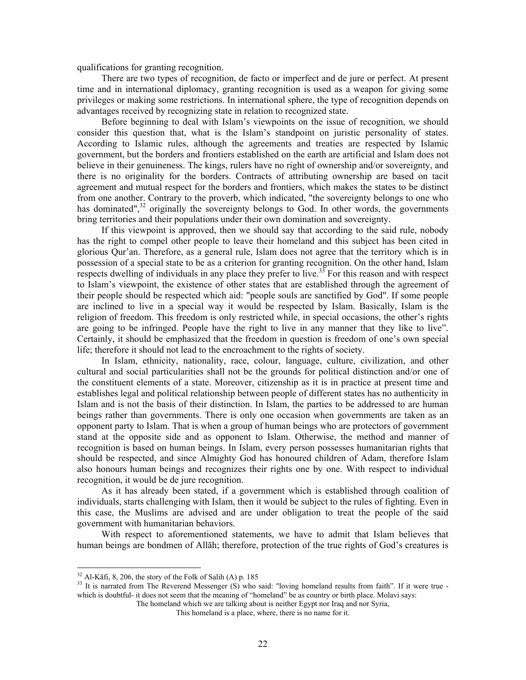qualifications for granting recognition.

There are two types of recognition, de facto or imperfect and de jure or perfect. At present time and in international diplomacy, granting recognition is used as a weapon for giving some privileges or making some restrictions. In international sphere, the type of recognition depends on advantages received by recognizing state in relation to recognized state.

Before beginning to deal with Islam's viewpoints on the issue of recognition, we should consider this question that, what is the Islam's standpoint on juristic personality of states. According to Islamic rules, although the agreements and treaties are respected by Islamic government, but the borders and frontiers established on the earth are artificial and Islam does not believe in their genuineness. The kings, rulers have no right of ownership and/or sovereignty, and there is no originality for the borders. Contracts of attributing ownership are based on tacit agreement and mutual respect for the borders and frontiers, which makes the states to be distinct from one another. Contrary to the proverb, which indicated, "the sovereignty belongs to one who has dominated", $32$  originally the sovereignty belongs to God. In other words, the governments bring territories and their populations under their own domination and sovereignty.

If this viewpoint is approved, then we should say that according to the said rule, nobody has the right to compel other people to leave their homeland and this subject has been cited in glorious Qur'an. Therefore, as a general rule, Islam does not agree that the territory which is in possession of a special state to be as a criterion for granting recognition. On the other hand, Islam respects dwelling of individuals in any place they prefer to live.<sup>33</sup> For this reason and with respect to Islam's viewpoint, the existence of other states that are established through the agreement of their people should be respected which aid: "people souls are sanctified by God". If some people are inclined to live in a special way it would be respected by Islam. Basically, Islam is the religion of freedom. This freedom is only restricted while, in special occasions, the other's rights are going to be infringed. People have the right to live in any manner that they like to live". Certainly, it should be emphasized that the freedom in question is freedom of one's own special life; therefore it should not lead to the encroachment to the rights of society.

In Islam, ethnicity, nationality, race, colour, language, culture, civilization, and other cultural and social particularities shall not be the grounds for political distinction and/or one of the constituent elements of a state. Moreover, citizenship as it is in practice at present time and establishes legal and political relationship between people of different states has no authenticity in Islam and is not the basis of their distinction. In Islam, the parties to be addressed to are human beings rather than governments. There is only one occasion when governments are taken as an opponent party to Islam. That is when a group of human beings who are protectors of government stand at the opposite side and as opponent to Islam. Otherwise, the method and manner of recognition is based on human beings. In Islam, every person possesses humanitarian rights that should be respected, and since Almighty God has honoured children of Adam, therefore Islam also honours human beings and recognizes their rights one by one. With respect to individual recognition, it would be de jure recognition.

As it has already been stated, if a government which is established through coalition of individuals, starts challenging with Islam, then it would be subject to the rules of fighting. Even in this case, the Muslims are advised and are under obligation to treat the people of the said government with humanitarian behaviors.

With respect to aforementioned statements, we have to admit that Islam believes that human beings are bondmen of Allāh; therefore, protection of the true rights of God's creatures is

 $32$  Al-Kāfi, 8, 206, the story of the Folk of Salih (A) p. 185

 $33$  It is narrated from The Reverend Messenger (S) who said: "loving homeland results from faith". If it were true which is doubtful- it does not seem that the meaning of "homeland" be as country or birth place. Molavi says:

The homeland which we are talking about is neither Egypt nor Iraq and nor Syria,

This homeland is a place, where, there is no name for it.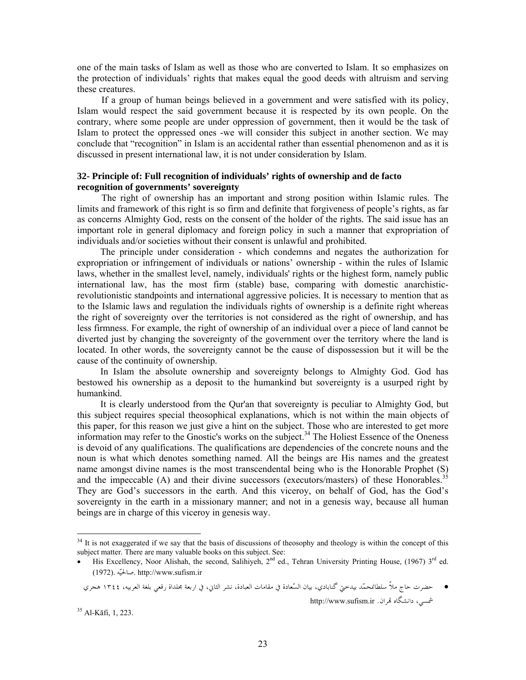one of the main tasks of Islam as well as those who are converted to Islam. It so emphasizes on the protection of individuals' rights that makes equal the good deeds with altruism and serving these creatures.

If a group of human beings believed in a government and were satisfied with its policy, Islam would respect the said government because it is respected by its own people. On the contrary, where some people are under oppression of government, then it would be the task of Islam to protect the oppressed ones -we will consider this subject in another section. We may conclude that "recognition" in Islam is an accidental rather than essential phenomenon and as it is discussed in present international law, it is not under consideration by Islam.

# **32- Principle of: Full recognition of individuals' rights of ownership and de facto recognition of governments' sovereignty**

The right of ownership has an important and strong position within Islamic rules. The limits and framework of this right is so firm and definite that forgiveness of people's rights, as far as concerns Almighty God, rests on the consent of the holder of the rights. The said issue has an important role in general diplomacy and foreign policy in such a manner that expropriation of individuals and/or societies without their consent is unlawful and prohibited.

The principle under consideration - which condemns and negates the authorization for expropriation or infringement of individuals or nations' ownership - within the rules of Islamic laws, whether in the smallest level, namely, individuals' rights or the highest form, namely public international law, has the most firm (stable) base, comparing with domestic anarchisticrevolutionistic standpoints and international aggressive policies. It is necessary to mention that as to the Islamic laws and regulation the individuals rights of ownership is a definite right whereas the right of sovereignty over the territories is not considered as the right of ownership, and has less firmness. For example, the right of ownership of an individual over a piece of land cannot be diverted just by changing the sovereignty of the government over the territory where the land is located. In other words, the sovereignty cannot be the cause of dispossession but it will be the cause of the continuity of ownership.

In Islam the absolute ownership and sovereignty belongs to Almighty God. God has bestowed his ownership as a deposit to the humankind but sovereignty is a usurped right by humankind.

It is clearly understood from the Qur'an that sovereignty is peculiar to Almighty God, but this subject requires special theosophical explanations, which is not within the main objects of this paper, for this reason we just give a hint on the subject. Those who are interested to get more information may refer to the Gnostic's works on the subject.<sup>34</sup> The Holiest Essence of the Oneness is devoid of any qualifications. The qualifications are dependencies of the concrete nouns and the noun is what which denotes something named. All the beings are His names and the greatest name amongst divine names is the most transcendental being who is the Honorable Prophet (S) and the impeccable  $(A)$  and their divine successors (executors/masters) of these Honorables.<sup>3</sup> They are God's successors in the earth. And this viceroy, on behalf of God, has the God's sovereignty in the earth in a missionary manner; and not in a genesis way, because all human beings are in charge of this viceroy in genesis way.

 حضرت حاج ملاّ سلطانمحمّد بيدختي گنابادي، بيان السّعادة في مقامات العبادة، نشر الثاني، في اربعة مجلداة رقعي بلغة العربيه، ١٣٤٤ هجري http://www.sufism.ir . هران دانشگاه قمران

35 Al-Kāfi, 1, 223.

 $34$  It is not exaggerated if we say that the basis of discussions of theosophy and theology is within the concept of this subject matter. There are many valuable books on this subject. See:

His Excellency, Noor Alishah, the second, Salihiyeh,  $2<sup>nd</sup>$  ed., Tehran University Printing House, (1967)  $3<sup>rd</sup>$  ed. (1972). هّصالحي. http://www.sufism.ir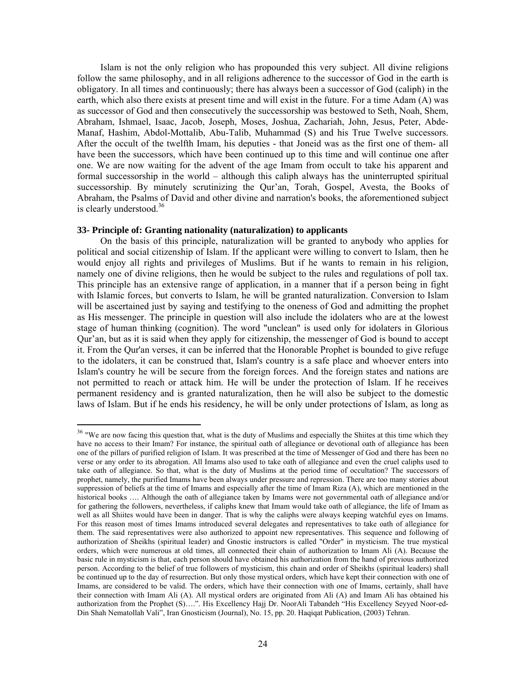Islam is not the only religion who has propounded this very subject. All divine religions follow the same philosophy, and in all religions adherence to the successor of God in the earth is obligatory. In all times and continuously; there has always been a successor of God (caliph) in the earth, which also there exists at present time and will exist in the future. For a time Adam (A) was as successor of God and then consecutively the successorship was bestowed to Seth, Noah, Shem, Abraham, Ishmael, Isaac, Jacob, Joseph, Moses, Joshua, Zachariah, John, Jesus, Peter, Abde-Manaf, Hashim, Abdol-Mottalib, Abu-Talib, Muhammad (S) and his True Twelve successors. After the occult of the twelfth Imam, his deputies - that Joneid was as the first one of them- all have been the successors, which have been continued up to this time and will continue one after one. We are now waiting for the advent of the age Imam from occult to take his apparent and formal successorship in the world – although this caliph always has the uninterrupted spiritual successorship. By minutely scrutinizing the Qur'an, Torah, Gospel, Avesta, the Books of Abraham, the Psalms of David and other divine and narration's books, the aforementioned subject is clearly understood.<sup>36</sup>

#### **33- Principle of: Granting nationality (naturalization) to applicants**

 $\overline{a}$ 

On the basis of this principle, naturalization will be granted to anybody who applies for political and social citizenship of Islam. If the applicant were willing to convert to Islam, then he would enjoy all rights and privileges of Muslims. But if he wants to remain in his religion, namely one of divine religions, then he would be subject to the rules and regulations of poll tax. This principle has an extensive range of application, in a manner that if a person being in fight with Islamic forces, but converts to Islam, he will be granted naturalization. Conversion to Islam will be ascertained just by saying and testifying to the oneness of God and admitting the prophet as His messenger. The principle in question will also include the idolaters who are at the lowest stage of human thinking (cognition). The word "unclean" is used only for idolaters in Glorious Qur'an, but as it is said when they apply for citizenship, the messenger of God is bound to accept it. From the Qur'an verses, it can be inferred that the Honorable Prophet is bounded to give refuge to the idolaters, it can be construed that, Islam's country is a safe place and whoever enters into Islam's country he will be secure from the foreign forces. And the foreign states and nations are not permitted to reach or attack him. He will be under the protection of Islam. If he receives permanent residency and is granted naturalization, then he will also be subject to the domestic laws of Islam. But if he ends his residency, he will be only under protections of Islam, as long as

<sup>&</sup>lt;sup>36</sup> "We are now facing this question that, what is the duty of Muslims and especially the Shiites at this time which they have no access to their Imam? For instance, the spiritual oath of allegiance or devotional oath of allegiance has been one of the pillars of purified religion of Islam. It was prescribed at the time of Messenger of God and there has been no verse or any order to its abrogation. All Imams also used to take oath of allegiance and even the cruel caliphs used to take oath of allegiance. So that, what is the duty of Muslims at the period time of occultation? The successors of prophet, namely, the purified Imams have been always under pressure and repression. There are too many stories about suppression of beliefs at the time of Imams and especially after the time of Imam Riza (A), which are mentioned in the historical books .... Although the oath of allegiance taken by Imams were not governmental oath of allegiance and/or for gathering the followers, nevertheless, if caliphs knew that Imam would take oath of allegiance, the life of Imam as well as all Shiites would have been in danger. That is why the caliphs were always keeping watchful eyes on Imams. For this reason most of times Imams introduced several delegates and representatives to take oath of allegiance for them. The said representatives were also authorized to appoint new representatives. This sequence and following of authorization of Sheikhs (spiritual leader) and Gnostic instructors is called "Order" in mysticism. The true mystical orders, which were numerous at old times, all connected their chain of authorization to Imam Ali (A). Because the basic rule in mysticism is that, each person should have obtained his authorization from the hand of previous authorized person. According to the belief of true followers of mysticism, this chain and order of Sheikhs (spiritual leaders) shall be continued up to the day of resurrection. But only those mystical orders, which have kept their connection with one of Imams, are considered to be valid. The orders, which have their connection with one of Imams, certainly, shall have their connection with Imam Ali (A). All mystical orders are originated from Ali (A) and Imam Ali has obtained his authorization from the Prophet (S)….". His Excellency Hajj Dr. NoorAli Tabandeh "His Excellency Seyyed Noor-ed-Din Shah Nematollah Vali", Iran Gnosticism (Journal), No. 15, pp. 20. Haqiqat Publication, (2003) Tehran.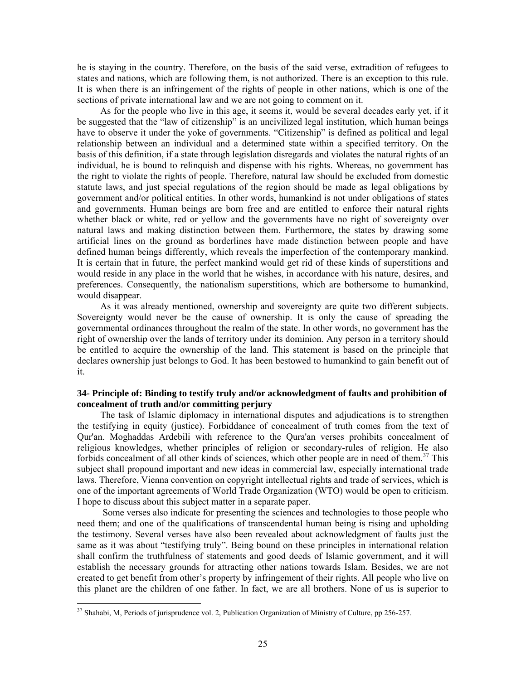he is staying in the country. Therefore, on the basis of the said verse, extradition of refugees to states and nations, which are following them, is not authorized. There is an exception to this rule. It is when there is an infringement of the rights of people in other nations, which is one of the sections of private international law and we are not going to comment on it.

As for the people who live in this age, it seems it, would be several decades early yet, if it be suggested that the "law of citizenship" is an uncivilized legal institution, which human beings have to observe it under the yoke of governments. "Citizenship" is defined as political and legal relationship between an individual and a determined state within a specified territory. On the basis of this definition, if a state through legislation disregards and violates the natural rights of an individual, he is bound to relinquish and dispense with his rights. Whereas, no government has the right to violate the rights of people. Therefore, natural law should be excluded from domestic statute laws, and just special regulations of the region should be made as legal obligations by government and/or political entities. In other words, humankind is not under obligations of states and governments. Human beings are born free and are entitled to enforce their natural rights whether black or white, red or yellow and the governments have no right of sovereignty over natural laws and making distinction between them. Furthermore, the states by drawing some artificial lines on the ground as borderlines have made distinction between people and have defined human beings differently, which reveals the imperfection of the contemporary mankind. It is certain that in future, the perfect mankind would get rid of these kinds of superstitions and would reside in any place in the world that he wishes, in accordance with his nature, desires, and preferences. Consequently, the nationalism superstitions, which are bothersome to humankind, would disappear.

As it was already mentioned, ownership and sovereignty are quite two different subjects. Sovereignty would never be the cause of ownership. It is only the cause of spreading the governmental ordinances throughout the realm of the state. In other words, no government has the right of ownership over the lands of territory under its dominion. Any person in a territory should be entitled to acquire the ownership of the land. This statement is based on the principle that declares ownership just belongs to God. It has been bestowed to humankind to gain benefit out of it.

# **34- Principle of: Binding to testify truly and/or acknowledgment of faults and prohibition of concealment of truth and/or committing perjury**

The task of Islamic diplomacy in international disputes and adjudications is to strengthen the testifying in equity (justice). Forbiddance of concealment of truth comes from the text of Qur'an. Moghaddas Ardebili with reference to the Qura'an verses prohibits concealment of religious knowledges, whether principles of religion or secondary-rules of religion. He also forbids concealment of all other kinds of sciences, which other people are in need of them.<sup>37</sup> This subject shall propound important and new ideas in commercial law, especially international trade laws. Therefore, Vienna convention on copyright intellectual rights and trade of services, which is one of the important agreements of World Trade Organization (WTO) would be open to criticism. I hope to discuss about this subject matter in a separate paper.

 Some verses also indicate for presenting the sciences and technologies to those people who need them; and one of the qualifications of transcendental human being is rising and upholding the testimony. Several verses have also been revealed about acknowledgment of faults just the same as it was about "testifying truly". Being bound on these principles in international relation shall confirm the truthfulness of statements and good deeds of Islamic government, and it will establish the necessary grounds for attracting other nations towards Islam. Besides, we are not created to get benefit from other's property by infringement of their rights. All people who live on this planet are the children of one father. In fact, we are all brothers. None of us is superior to

 $37$  Shahabi, M, Periods of jurisprudence vol. 2, Publication Organization of Ministry of Culture, pp 256-257.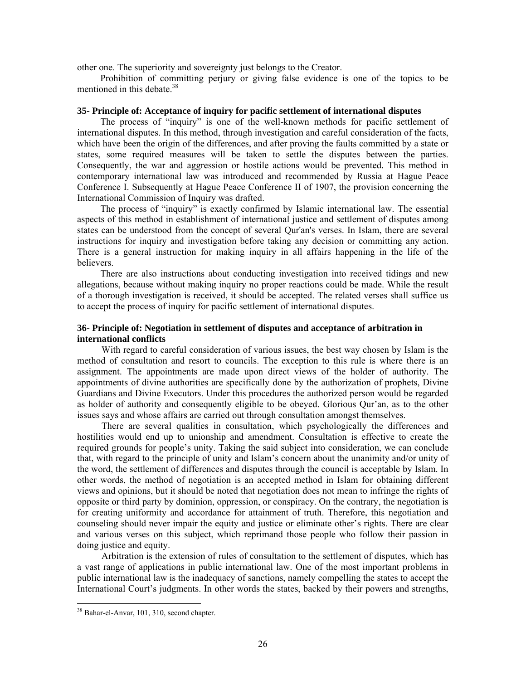other one. The superiority and sovereignty just belongs to the Creator.

Prohibition of committing perjury or giving false evidence is one of the topics to be mentioned in this debate.<sup>38</sup>

# **35- Principle of: Acceptance of inquiry for pacific settlement of international disputes**

The process of "inquiry" is one of the well-known methods for pacific settlement of international disputes. In this method, through investigation and careful consideration of the facts, which have been the origin of the differences, and after proving the faults committed by a state or states, some required measures will be taken to settle the disputes between the parties. Consequently, the war and aggression or hostile actions would be prevented. This method in contemporary international law was introduced and recommended by Russia at Hague Peace Conference I. Subsequently at Hague Peace Conference II of 1907, the provision concerning the International Commission of Inquiry was drafted.

The process of "inquiry" is exactly confirmed by Islamic international law. The essential aspects of this method in establishment of international justice and settlement of disputes among states can be understood from the concept of several Qur'an's verses. In Islam, there are several instructions for inquiry and investigation before taking any decision or committing any action. There is a general instruction for making inquiry in all affairs happening in the life of the believers.

There are also instructions about conducting investigation into received tidings and new allegations, because without making inquiry no proper reactions could be made. While the result of a thorough investigation is received, it should be accepted. The related verses shall suffice us to accept the process of inquiry for pacific settlement of international disputes.

## **36- Principle of: Negotiation in settlement of disputes and acceptance of arbitration in international conflicts**

With regard to careful consideration of various issues, the best way chosen by Islam is the method of consultation and resort to councils. The exception to this rule is where there is an assignment. The appointments are made upon direct views of the holder of authority. The appointments of divine authorities are specifically done by the authorization of prophets, Divine Guardians and Divine Executors. Under this procedures the authorized person would be regarded as holder of authority and consequently eligible to be obeyed. Glorious Qur'an, as to the other issues says and whose affairs are carried out through consultation amongst themselves.

There are several qualities in consultation, which psychologically the differences and hostilities would end up to unionship and amendment. Consultation is effective to create the required grounds for people's unity. Taking the said subject into consideration, we can conclude that, with regard to the principle of unity and Islam's concern about the unanimity and/or unity of the word, the settlement of differences and disputes through the council is acceptable by Islam. In other words, the method of negotiation is an accepted method in Islam for obtaining different views and opinions, but it should be noted that negotiation does not mean to infringe the rights of opposite or third party by dominion, oppression, or conspiracy. On the contrary, the negotiation is for creating uniformity and accordance for attainment of truth. Therefore, this negotiation and counseling should never impair the equity and justice or eliminate other's rights. There are clear and various verses on this subject, which reprimand those people who follow their passion in doing justice and equity.

Arbitration is the extension of rules of consultation to the settlement of disputes, which has a vast range of applications in public international law. One of the most important problems in public international law is the inadequacy of sanctions, namely compelling the states to accept the International Court's judgments. In other words the states, backed by their powers and strengths,

<sup>&</sup>lt;sup>38</sup> Bahar-el-Anvar, 101, 310, second chapter.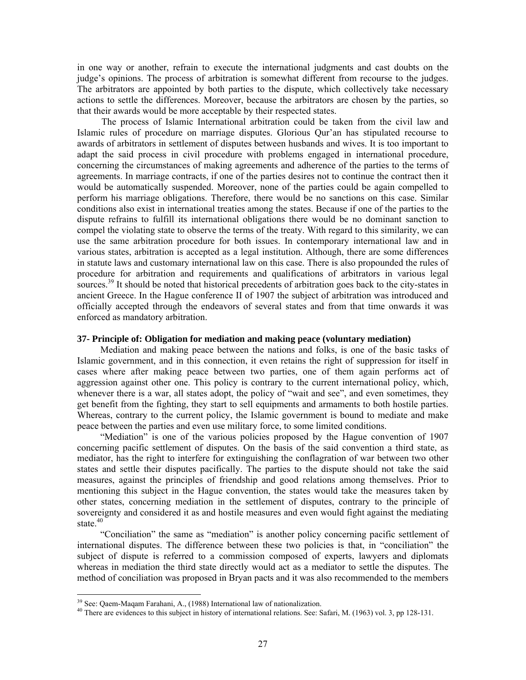in one way or another, refrain to execute the international judgments and cast doubts on the judge's opinions. The process of arbitration is somewhat different from recourse to the judges. The arbitrators are appointed by both parties to the dispute, which collectively take necessary actions to settle the differences. Moreover, because the arbitrators are chosen by the parties, so that their awards would be more acceptable by their respected states.

The process of Islamic International arbitration could be taken from the civil law and Islamic rules of procedure on marriage disputes. Glorious Qur'an has stipulated recourse to awards of arbitrators in settlement of disputes between husbands and wives. It is too important to adapt the said process in civil procedure with problems engaged in international procedure, concerning the circumstances of making agreements and adherence of the parties to the terms of agreements. In marriage contracts, if one of the parties desires not to continue the contract then it would be automatically suspended. Moreover, none of the parties could be again compelled to perform his marriage obligations. Therefore, there would be no sanctions on this case. Similar conditions also exist in international treaties among the states. Because if one of the parties to the dispute refrains to fulfill its international obligations there would be no dominant sanction to compel the violating state to observe the terms of the treaty. With regard to this similarity, we can use the same arbitration procedure for both issues. In contemporary international law and in various states, arbitration is accepted as a legal institution. Although, there are some differences in statute laws and customary international law on this case. There is also propounded the rules of procedure for arbitration and requirements and qualifications of arbitrators in various legal sources.<sup>39</sup> It should be noted that historical precedents of arbitration goes back to the city-states in ancient Greece. In the Hague conference II of 1907 the subject of arbitration was introduced and officially accepted through the endeavors of several states and from that time onwards it was enforced as mandatory arbitration.

#### **37- Principle of: Obligation for mediation and making peace (voluntary mediation)**

Mediation and making peace between the nations and folks, is one of the basic tasks of Islamic government, and in this connection, it even retains the right of suppression for itself in cases where after making peace between two parties, one of them again performs act of aggression against other one. This policy is contrary to the current international policy, which, whenever there is a war, all states adopt, the policy of "wait and see", and even sometimes, they get benefit from the fighting, they start to sell equipments and armaments to both hostile parties. Whereas, contrary to the current policy, the Islamic government is bound to mediate and make peace between the parties and even use military force, to some limited conditions.

"Mediation" is one of the various policies proposed by the Hague convention of 1907 concerning pacific settlement of disputes. On the basis of the said convention a third state, as mediator, has the right to interfere for extinguishing the conflagration of war between two other states and settle their disputes pacifically. The parties to the dispute should not take the said measures, against the principles of friendship and good relations among themselves. Prior to mentioning this subject in the Hague convention, the states would take the measures taken by other states, concerning mediation in the settlement of disputes, contrary to the principle of sovereignty and considered it as and hostile measures and even would fight against the mediating state. $40$ 

"Conciliation" the same as "mediation" is another policy concerning pacific settlement of international disputes. The difference between these two policies is that, in "conciliation" the subject of dispute is referred to a commission composed of experts, lawyers and diplomats whereas in mediation the third state directly would act as a mediator to settle the disputes. The method of conciliation was proposed in Bryan pacts and it was also recommended to the members

<sup>&</sup>lt;sup>39</sup> See: Qaem-Magam Farahani, A., (1988) International law of nationalization.

<sup>&</sup>lt;sup>40</sup> There are evidences to this subject in history of international relations. See: Safari, M. (1963) vol. 3, pp 128-131.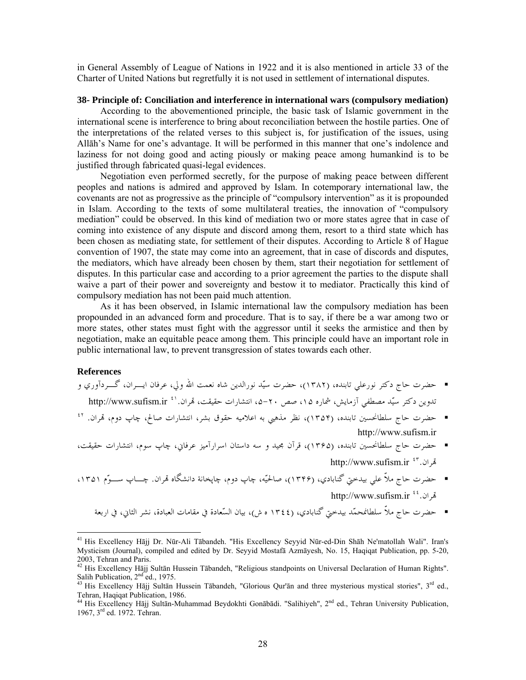in General Assembly of League of Nations in 1922 and it is also mentioned in article 33 of the Charter of United Nations but regretfully it is not used in settlement of international disputes.

#### **38- Principle of: Conciliation and interference in international wars (compulsory mediation)**

According to the abovementioned principle, the basic task of Islamic government in the international scene is interference to bring about reconciliation between the hostile parties. One of the interpretations of the related verses to this subject is, for justification of the issues, using Allāh's Name for one's advantage. It will be performed in this manner that one's indolence and laziness for not doing good and acting piously or making peace among humankind is to be justified through fabricated quasi-legal evidences.

Negotiation even performed secretly, for the purpose of making peace between different peoples and nations is admired and approved by Islam. In cotemporary international law, the covenants are not as progressive as the principle of "compulsory intervention" as it is propounded in Islam. According to the texts of some multilateral treaties, the innovation of "compulsory mediation" could be observed. In this kind of mediation two or more states agree that in case of coming into existence of any dispute and discord among them, resort to a third state which has been chosen as mediating state, for settlement of their disputes. According to Article 8 of Hague convention of 1907, the state may come into an agreement, that in case of discords and disputes, the mediators, which have already been chosen by them, start their negotiation for settlement of disputes. In this particular case and according to a prior agreement the parties to the dispute shall waive a part of their power and sovereignty and bestow it to mediator. Practically this kind of compulsory mediation has not been paid much attention.

As it has been observed, in Islamic international law the compulsory mediation has been propounded in an advanced form and procedure. That is to say, if there be a war among two or more states, other states must fight with the aggressor until it seeks the armistice and then by negotiation, make an equitable peace among them. This principle could have an important role in public international law, to prevent transgression of states towards each other.

#### **References**

- حضرت حاج دكتر نورعلي تابنده، (۱۳۸۲)، حضرت سيّد نورالدين شاه نعمت االله ولي، عرفان ايـران، گـردآوري و تدوين دكتر سيّد مصطفى آزمايش، شماره ۱۵، صص ۲۰−۵، انتشارات حقيقت، قمران.<sup>۱۹</sup> http://www.sufism.ir
- ٤٢ حضرت حاج سلطانحسين تابنده، (۱۳۵۴)، نظر مذهبي به اعلاميه حقوق بشر، انتشارات صالح، چاپ دوم، هتران. http://www.sufism.ir
- حضرت حاج سلطانحسين تابنده، (۱۳۶۵)، قرآن مجيد و سه داستان اسرارآميز عرفاني، چاپ سوم، انتشارات حقيقت، .هتران <sup>٤٣</sup> http://www.sufism.ir
- حضرت حاج ملاّ علي بيدختي گنابادي، (۱۳۴۶)، صالحيّه، چاپ دوم، چاپخانة دانشگاه هتران. چـاپ سـوّم ،۱۳۵۱ .هتران <sup>٤٤</sup> http://www.sufism.ir
	- حضرت حاج ملاّ سلطانمحمّد بيدختي گنابادي، (١٣٤٤ ه ش)، بيان السّعادة في مقامات العبادة، نشر الثاني، في اربعة

<sup>41</sup> His Excellency Hājj Dr. Nūr-Ali Tābandeh. "His Excellency Seyyid Nūr-ed-Din Shāh Ne'matollah Wali". Iran's Mysticism (Journal), compiled and edited by Dr. Seyyid Mostafā Azmāyesh, No. 15, Haqiqat Publication, pp. 5-20, 2003, Tehran and Paris.

 $^{42}$  His Excellency Hājj Sultān Hussein Tābandeh, "Religious standpoints on Universal Declaration of Human Rights". Salih Publication, 2<sup>nd</sup> ed., 1975.<br><sup>43</sup> His Excellency Hājj Sultān Hussein Tābandeh, "Glorious Qur'ān and three mysterious mystical stories", 3<sup>rd</sup> ed.,

Tehran, Haqiqat Publication, 1986.

<sup>&</sup>lt;sup>44</sup> His Excellency Hājj Sultān-Muhammad Beydokhti Gonābādi. "Salihiyeh", 2<sup>nd</sup> ed., Tehran University Publication, 1967, 3rd ed. 1972. Tehran.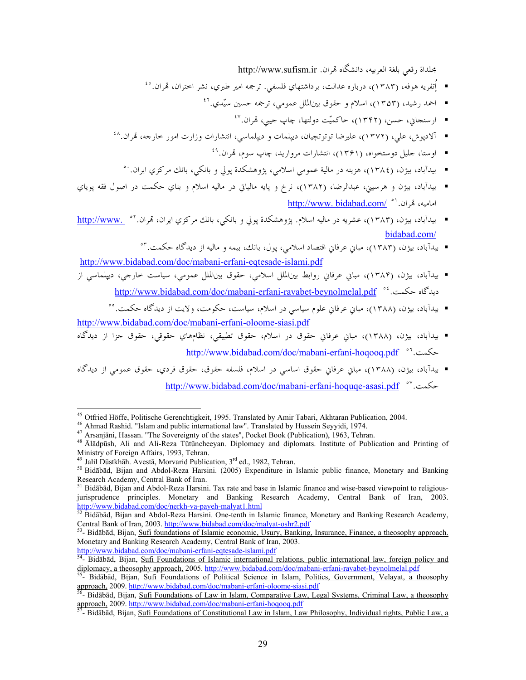مجلداة , قعي بلغة العربيه، دانشگاه تمران. http://www.sufism.ir

- ٤٥ اٍُتفريه هوفه، (١٣٨٣)، درباره عدالت، برداشتهاي فلسفي. ترجمه امير طبري، نشر اختران، هتران.
	- ٤٦ احمد رشيد، (۱۳۵۳)، اسلام و حقوق بينالملل عمومي، ترجمه حسين سيّدي.
		- ٤٧ ارسنجاني، حسن، (۱۳۴۲)، حاكميّت دولتها، چاپ جيبي، هتران.
- ٤٨ آلادپوش، علي، (۱۳۷۲)، عليرضا توتوتچيان، ديپلمات و ديپلماسي، انتشارات وزارت امور خارجه، هتران.
	- ٤٩ اوستا، جليل دوستخواه، (۱۳۶۱)، انتشارات مرواريد، چاپ سوم، هتران.
	- ٥٠ بيدآباد، بيژن، (١٣٨٤)، هزينه در مالية عمومي اسلامي، پژوهشكدة پولي و بانكي، بانك مركزي ايران.
- بيدآباد، بيژن و هرسيني، عبدالرضا، (١٣٨٢)، نرخ و پايه مالياتي در ماليه اسلام و بناي حكمت در اصول فقه پوياي http://www. bidabad.com/ °'. اماميه، هيران .
- .www://http <sup>٥٢</sup> بيدآباد، بيژن، (۱۳۸۳)، عشريه در ماليه اسلام. پژوهشكدة پولي و بانكي، بانك مركزي ايران، هتران. bidabad.com/
	- ٥٣ بيدآباد، بيژن، (۱۳۸۳)، مباني عرفاني اقتصاد اسلامي، پول، بانك، بيمه و ماليه از ديدگاه حكمت.

http://www.bidabad.com/doc/mabani-erfani-eqtesade-islami.pdf بيدآباد، بيژن، (۱۳۸۴)، مباني عرفاني روابط بينالملل اسلامي، حقوق بينالملل عمومي، سياست خارجي، ديپلماسي از ديدگاه حكمت. \*\* http://www.bidabad.com/doc/mabani-erfani-ravabet-beynolmelal.pdf

 <sup>٥٥</sup> بيدآباد، بيژن، (۱۳۸۸)، مباني عرفاني علوم سياسي در اسلام، سياست، حكومت، ولايت از ديدگاه حكمت. http://www.bidabad.com/doc/mabani-erfani-oloome-siasi.pdf

 بيدآباد، بيژن، (۱۳۸۸)، مباني عرفاني حقوق در اسلام، حقوق تطبيقي، نظامهاي حقوقي، حقوق جزا از ديدگاه .حكمت <sup>٥٦</sup> http://www.bidabad.com/doc/mabani-erfani-hoqooq.pdf

 بيدآباد، بيژن، (۱۳۸۸)، مباني عرفاني حقوق اساسي در اسلام، فلسفه حقوق، حقوق فردي، حقوق عمومي از ديدگاه .حكمت <sup>٥٧</sup> http://www.bidabad.com/doc/mabani-erfani-hoquqe-asasi.pdf

<sup>&</sup>lt;sup>45</sup> Otfried Höffe, Politische Gerenchtigkeit, 1995. Translated by Amir Tabari, Akhtaran Publication, 2004.<br><sup>46</sup> Ahmad Rashid. "Islam and public international law". Translated by Hussein Seyyidi, 1974.<br><sup>47</sup> Arsanjāni, Has Ministry of Foreign Affairs, 1993, Tehran.<br><sup>49</sup> Jalil Dūstkhāh. Avestā, Morvarid Publication, 3<sup>rd</sup> ed., 1982, Tehran.

<sup>&</sup>lt;sup>50</sup> Bidābād, Bijan and Abdol-Reza Harsini. (2005) Expenditure in Islamic public finance, Monetary and Banking Research Academy, Central Bank of Iran.

<sup>&</sup>lt;sup>51</sup> Bidābād, Bijan and Abdol-Reza Harsini. Tax rate and base in Islamic finance and wise-based viewpoint to religiousjurisprudence principles. Monetary and Banking Research Academy, Central Bank of Iran, 2003.<br>  $\frac{http://www.bidabad.com/doc/nerkh-va-payeh-malyat1.html}{52 \text{ Bidabad P}$ 

Bidabad, Bijan and Abdol-Reza Harsini. One-tenth in Islamic finance, Monetary and Banking Research Academy, Central Bank of Iran, 2003. http://www.bidabad.com/doc/malyat-oshr2.pdf<br>
<sup>53</sup>- Bidābād, Bijan, <u>Sufi foundations of Islamic economic, Usury, Banking, Insurance, Finance, a theosophy approach.</u>

Monetary and Banking Research Academy, Central Bank of Iran, 2003.

http://www.bidabad.com/doc/mabani-erfani-eqtesade-islami.pdf<br><sup>54</sup>- Bidābād, Bijan, <u>Sufi Foundations of Islamic international relations, public international law, foreign policy and</u> diplomacy, a theosophy approach, 2005. http://www.bidabad.com/doc/mabani-erfani-ravabet-beynolmelal.pdf <sup>55</sup>- Bidābād, Bijan, <u>Sufi Foundations of Political Science in Islam, Politics, Government, Velayat, a theosophy</u>

approach, 2009. http://www.bidabad.com/doc/mabani-erfani-oloome-siasi.pdf<br>
<sup>56</sup>- Bidābād, Bijan, <u>Sufi Foundations of Law in Islam, Comparative Law, Legal Systems, Criminal Law, a theosophy<br>
approach, 2009. http://www.bida</u>

<sup>&</sup>lt;sup>2</sup>- Bidābād, Bijan, Sufi Foundations of Constitutional Law in Islam, Law Philosophy, Individual rights, Public Law, a